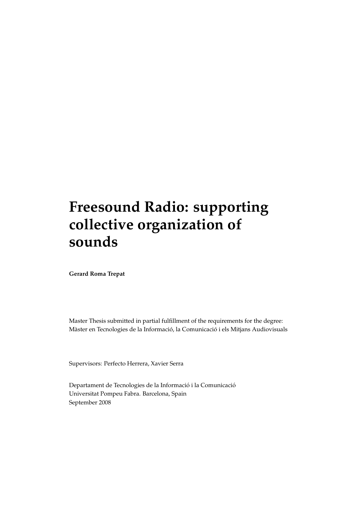# **Freesound Radio: supporting collective organization of sounds**

**Gerard Roma Trepat**

Master Thesis submitted in partial fulfillment of the requirements for the degree: Màster en Tecnologies de la Informació, la Comunicació i els Mitjans Audiovisuals

Supervisors: Perfecto Herrera, Xavier Serra

Departament de Tecnologies de la Informació i la Comunicació Universitat Pompeu Fabra. Barcelona, Spain September 2008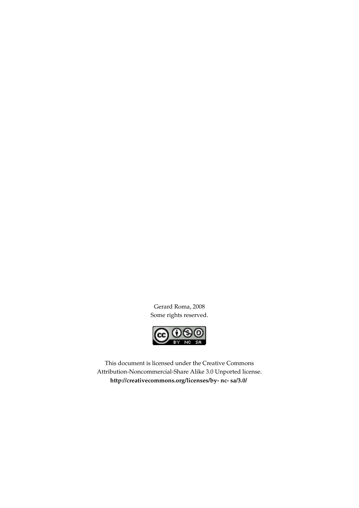Gerard Roma, 2008 Some rights reserved.



This document is licensed under the Creative Commons Attribution-Noncommercial-Share Alike 3.0 Unported license. **[http://creativecommons.org/licenses/by- nc- sa/3.0/](http://creativecommons.org/licenses/by- nc- sa/3.0/ )**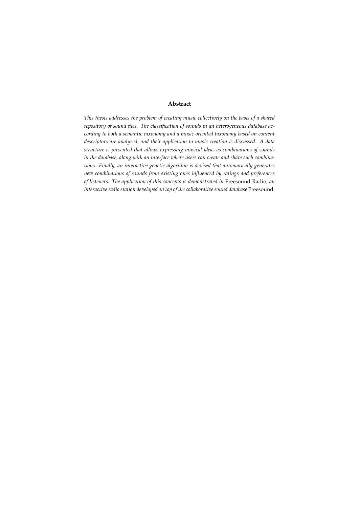### **Abstract**

*This thesis addresses the problem of creating music collectively on the basis of a shared repository of sound files. The classification of sounds in an heterogeneous database according to both a semantic taxonomy and a music oriented taxonomy based on content descriptors are analyzed, and their application to music creation is discussed. A data structure is presented that allows expressing musical ideas as combinations of sounds in the database, along with an interface where users can create and share such combinations. Finally, an interactive genetic algorithm is devised that automatically generates new combinations of sounds from existing ones influenced by ratings and preferences of listeners. The application of this concepts is demonstrated in* Freesound Radio*, an interactive radio station developed on top of the collaborative sound database* Freesound*.*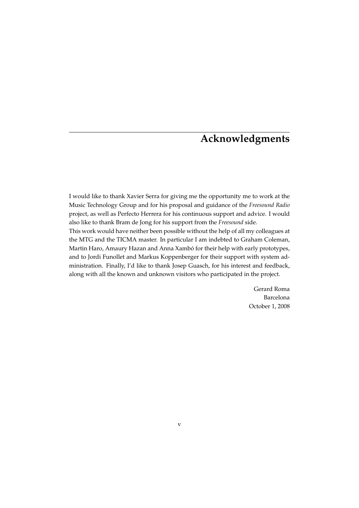# **Acknowledgments**

I would like to thank Xavier Serra for giving me the opportunity me to work at the Music Technology Group and for his proposal and guidance of the *Freesound Radio* project, as well as Perfecto Herrera for his continuous support and advice. I would also like to thank Bram de Jong for his support from the *Freesound* side.

This work would have neither been possible without the help of all my colleagues at the MTG and the TICMA master. In particular I am indebted to Graham Coleman, Martin Haro, Amaury Hazan and Anna Xambó for their help with early prototypes, and to Jordi Funollet and Markus Koppenberger for their support with system administration. Finally, I'd like to thank Josep Guasch, for his interest and feedback, along with all the known and unknown visitors who participated in the project.

> Gerard Roma Barcelona October 1, 2008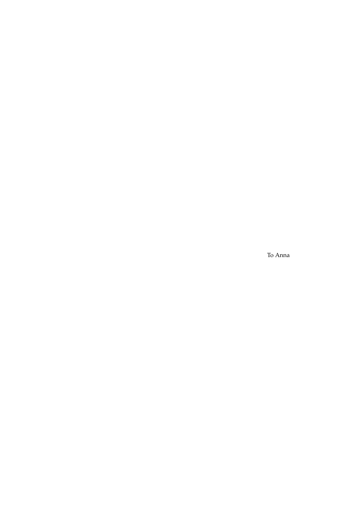To Anna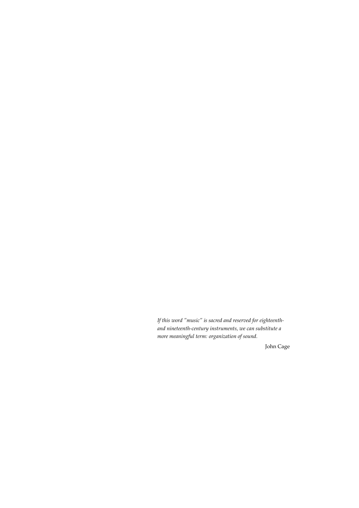*If this word "music" is sacred and reserved for eighteenthand nineteenth-century instruments, we can substitute a more meaningful term: organization of sound.*

John Cage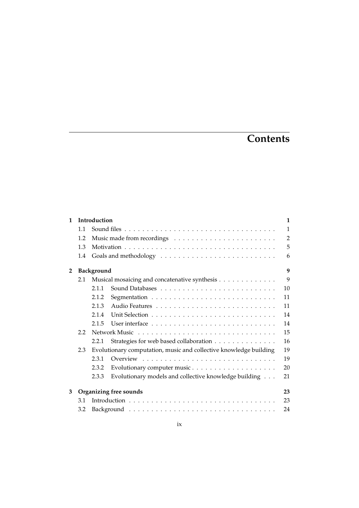# **Contents**

| $\mathbf{1}$ | Introduction     |                                               |                                                                   |              |  |  |  |  |  |  |
|--------------|------------------|-----------------------------------------------|-------------------------------------------------------------------|--------------|--|--|--|--|--|--|
|              | 1.1              |                                               |                                                                   | $\mathbf{1}$ |  |  |  |  |  |  |
|              | 1.2              |                                               |                                                                   |              |  |  |  |  |  |  |
|              | 1.3              |                                               |                                                                   | 5            |  |  |  |  |  |  |
|              | 1.4              |                                               |                                                                   | 6            |  |  |  |  |  |  |
| $\mathbf{2}$ |                  | 9<br><b>Background</b>                        |                                                                   |              |  |  |  |  |  |  |
|              | 2.1              | Musical mosaicing and concatenative synthesis |                                                                   |              |  |  |  |  |  |  |
|              |                  | 2.1.1                                         |                                                                   | 10           |  |  |  |  |  |  |
|              |                  | 2.1.2                                         |                                                                   | 11           |  |  |  |  |  |  |
|              |                  | 2.1.3                                         |                                                                   | 11           |  |  |  |  |  |  |
|              |                  | 2.1.4                                         |                                                                   | 14           |  |  |  |  |  |  |
|              |                  | 2.1.5                                         |                                                                   | 14           |  |  |  |  |  |  |
|              | $2.2\phantom{0}$ |                                               |                                                                   | 15           |  |  |  |  |  |  |
|              |                  | 2.2.1                                         | Strategies for web based collaboration                            | 16           |  |  |  |  |  |  |
|              | 2.3              |                                               | Evolutionary computation, music and collective knowledge building | 19           |  |  |  |  |  |  |
|              |                  | 2.3.1                                         |                                                                   | 19           |  |  |  |  |  |  |
|              |                  | 2.3.2                                         |                                                                   | 20           |  |  |  |  |  |  |
|              |                  | 2.3.3                                         | Evolutionary models and collective knowledge building             | 21           |  |  |  |  |  |  |
| 3            |                  |                                               | Organizing free sounds                                            | 23           |  |  |  |  |  |  |
|              | 3.1              | 23                                            |                                                                   |              |  |  |  |  |  |  |
|              | 3.2              | 24                                            |                                                                   |              |  |  |  |  |  |  |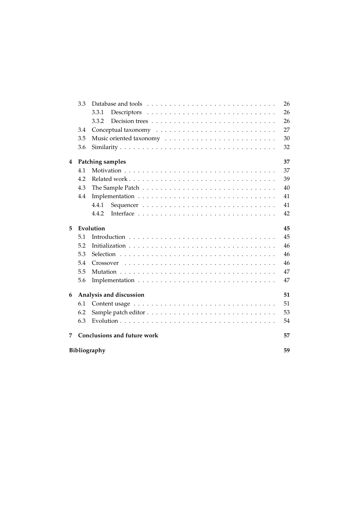|                    | 3.3                                |                        | 26 |  |  |  |  |  |
|--------------------|------------------------------------|------------------------|----|--|--|--|--|--|
|                    |                                    | 3.3.1                  | 26 |  |  |  |  |  |
|                    |                                    | 3.3.2                  | 26 |  |  |  |  |  |
|                    | 3.4                                |                        | 27 |  |  |  |  |  |
|                    | 3.5                                |                        | 30 |  |  |  |  |  |
|                    | 3.6                                |                        | 32 |  |  |  |  |  |
| 4                  |                                    | Patching samples<br>37 |    |  |  |  |  |  |
|                    | 4.1                                |                        | 37 |  |  |  |  |  |
|                    | 4.2                                |                        | 39 |  |  |  |  |  |
|                    | 4.3                                |                        | 40 |  |  |  |  |  |
|                    | 4.4                                |                        | 41 |  |  |  |  |  |
|                    |                                    | 4.4.1                  | 41 |  |  |  |  |  |
|                    |                                    | 4.4.2                  | 42 |  |  |  |  |  |
| 5                  |                                    | Evolution<br>45        |    |  |  |  |  |  |
|                    | 5.1                                |                        | 45 |  |  |  |  |  |
|                    | 5.2                                |                        | 46 |  |  |  |  |  |
|                    | 5.3                                |                        |    |  |  |  |  |  |
|                    | 5.4                                | Crossover              |    |  |  |  |  |  |
|                    | 5.5                                |                        | 47 |  |  |  |  |  |
|                    | 5.6                                |                        | 47 |  |  |  |  |  |
| 6                  | Analysis and discussion            |                        |    |  |  |  |  |  |
|                    | 6.1                                |                        | 51 |  |  |  |  |  |
|                    | 6.2                                |                        | 53 |  |  |  |  |  |
|                    | 6.3                                |                        | 54 |  |  |  |  |  |
| 7                  | <b>Conclusions and future work</b> |                        |    |  |  |  |  |  |
| Bibliography<br>59 |                                    |                        |    |  |  |  |  |  |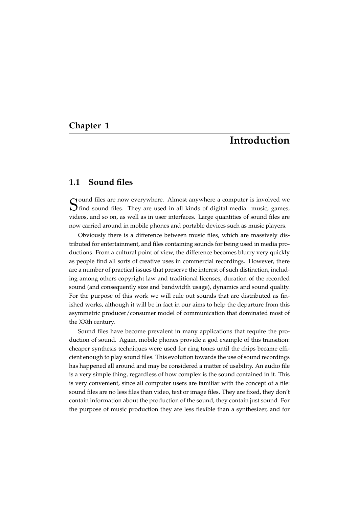### <span id="page-10-0"></span>**Chapter 1**

## **Introduction**

### <span id="page-10-1"></span>**1.1 Sound files**

Sound files are now everywhere. Almost anywhere a computer is involved we S find sound files. They are used in all kinds of digital media: music, games,  $\bigcup$  find sound files. They are used in all kinds of digital media: music, games, videos, and so on, as well as in user interfaces. Large quantities of sound files are now carried around in mobile phones and portable devices such as music players.

Obviously there is a difference between music files, which are massively distributed for entertainment, and files containing sounds for being used in media productions. From a cultural point of view, the difference becomes blurry very quickly as people find all sorts of creative uses in commercial recordings. However, there are a number of practical issues that preserve the interest of such distinction, including among others copyright law and traditional licenses, duration of the recorded sound (and consequently size and bandwidth usage), dynamics and sound quality. For the purpose of this work we will rule out sounds that are distributed as finished works, although it will be in fact in our aims to help the departure from this asymmetric producer/consumer model of communication that dominated most of the XXth century.

Sound files have become prevalent in many applications that require the production of sound. Again, mobile phones provide a god example of this transition: cheaper synthesis techniques were used for ring tones until the chips became efficient enough to play sound files. This evolution towards the use of sound recordings has happened all around and may be considered a matter of usability. An audio file is a very simple thing, regardless of how complex is the sound contained in it. This is very convenient, since all computer users are familiar with the concept of a file: sound files are no less files than video, text or image files. They are fixed, they don't contain information about the production of the sound, they contain just sound. For the purpose of music production they are less flexible than a synthesizer, and for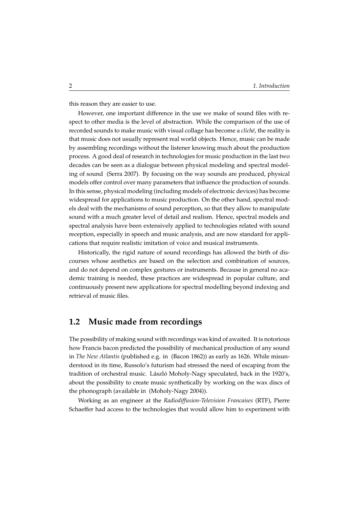this reason they are easier to use.

However, one important difference in the use we make of sound files with respect to other media is the level of abstraction. While the comparison of the use of recorded sounds to make music with visual collage has become a *cliché*, the reality is that music does not usually represent real world objects. Hence, music can be made by assembling recordings without the listener knowing much about the production process. A good deal of research in technologies for music production in the last two decades can be seen as a dialogue between physical modeling and spectral modeling of sound (Serra 2007). By focusing on the way sounds are produced, physical models offer control over many parameters that influence the production of sounds. In this sense, physical modeling (including models of electronic devices) has become widespread for applications to music production. On the other hand, spectral models deal with the mechanisms of sound perception, so that they allow to manipulate sound with a much greater level of detail and realism. Hence, spectral models and spectral analysis have been extensively applied to technologies related with sound reception, especially in speech and music analysis, and are now standard for applications that require realistic imitation of voice and musical instruments.

Historically, the rigid nature of sound recordings has allowed the birth of discourses whose aesthetics are based on the selection and combination of sources, and do not depend on complex gestures or instruments. Because in general no academic training is needed, these practices are widespread in popular culture, and continuously present new applications for spectral modelling beyond indexing and retrieval of music files.

### <span id="page-11-0"></span>**1.2 Music made from recordings**

The possibility of making sound with recordings was kind of awaited. It is notorious how Francis bacon predicted the possibility of mechanical production of any sound in *The New Atlantis* (published e.g. in (Bacon 1862)) as early as 1626. While misunderstood in its time, Russolo's futurism had stressed the need of escaping from the tradition of orchestral music. László Moholy-Nagy speculated, back in the 1920's, about the possibility to create music synthetically by working on the wax discs of the phonograph (available in (Moholy-Nagy 2004)).

Working as an engineer at the *Radiodiffusion-Television Francaises* (RTF), Pierre Schaeffer had access to the technologies that would allow him to experiment with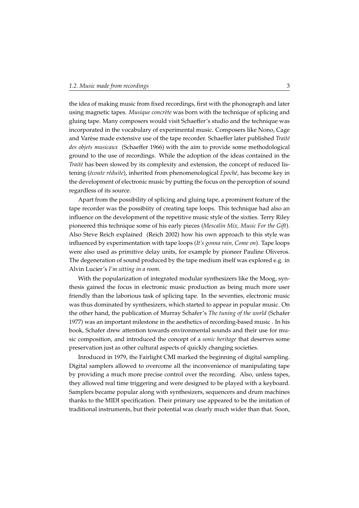the idea of making music from fixed recordings, first with the phonograph and later using magnetic tapes. *Musique concrète* was born with the technique of splicing and gluing tape. Many composers would visit Schaeffer's studio and the technique was incorporated in the vocabulary of experimental music. Composers like Nono, Cage and Varèse made extensive use of the tape recorder. Schaeffer later published Traité *des objets musicaux* (Schaeffer 1966) with the aim to provide some methodological ground to the use of recordings. While the adoption of the ideas contained in the *Traité* has been slowed by its complexity and extension, the concept of reduced listening (écoute réduite), inherited from phenomenological *Epoché*, has become key in the development of electronic music by putting the focus on the perception of sound regardless of its source.

Apart from the possibility of splicing and gluing tape, a prominent feature of the tape recorder was the possibiity of creating tape loops. This technique had also an influence on the development of the repetitive music style of the sixties. Terry Riley pioneered this technique some of his early pieces (*Mescalin Mix, Music For the Gift*). Also Steve Reich explained (Reich 2002) how his own approach to this style was influenced by experimentation with tape loops (*It's gonna rain, Come on*). Tape loops were also used as primitive delay units, for example by pioneer Pauline Oliveros. The degeneration of sound produced by the tape medium itself was explored e.g. in Alvin Lucier's *I'm sitting in a room*.

With the popularization of integrated modular synthesizers like the Moog, synthesis gained the focus in electronic music production as being much more user friendly than the laborious task of splicing tape. In the seventies, electronic music was thus dominated by synthesizers, which started to appear in popular music. On the other hand, the publication of Murray Schafer's *The tuning of the world* (Schafer 1977) was an important milestone in the aesthetics of recording-based music . In his book, Schafer drew attention towards environmental sounds and their use for music composition, and introduced the concept of a *sonic heritage* that deserves some preservation just as other cultural aspects of quickly changing societies.

Inroduced in 1979, the Fairlight CMI marked the beginning of digital sampling. Digital samplers allowed to overcome all the inconvenience of manipulating tape by providing a much more precise control over the recording. Also, unless tapes, they allowed real time triggering and were designed to be played with a keyboard. Samplers became popular along with synthesizers, sequencers and drum machines thanks to the MIDI specification. Their primary use appeared to be the imitation of traditional instruments, but their potential was clearly much wider than that. Soon,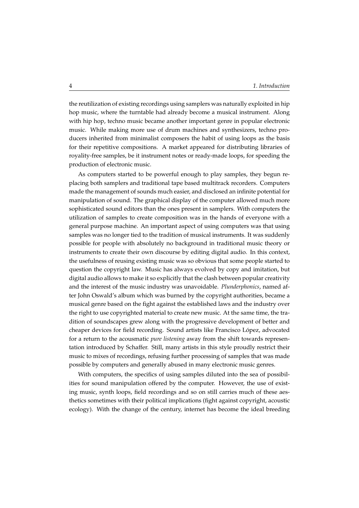the reutilization of existing recordings using samplers was naturally exploited in hip hop music, where the turntable had already become a musical instrument. Along with hip hop, techno music became another important genre in popular electronic music. While making more use of drum machines and synthesizers, techno producers inherited from minimalist composers the habit of using loops as the basis for their repetitive compositions. A market appeared for distributing libraries of royality-free samples, be it instrument notes or ready-made loops, for speeding the production of electronic music.

As computers started to be powerful enough to play samples, they begun replacing both samplers and traditional tape based multitrack recorders. Computers made the management of sounds much easier, and disclosed an infinite potential for manipulation of sound. The graphical display of the computer allowed much more sophisticated sound editors than the ones present in samplers. With computers the utilization of samples to create composition was in the hands of everyone with a general purpose machine. An important aspect of using computers was that using samples was no longer tied to the tradition of musical instruments. It was suddenly possible for people with absolutely no background in traditional music theory or instruments to create their own discourse by editing digital audio. In this context, the usefulness of reusing existing music was so obvious that some people started to question the copyright law. Music has always evolved by copy and imitation, but digital audio allows to make it so explicitly that the clash between popular creativity and the interest of the music industry was unavoidable. *Plunderphonics*, named after John Oswald's album which was burned by the copyright authorities, became a musical genre based on the fight against the established laws and the industry over the right to use copyrighted material to create new music. At the same time, the tradition of soundscapes grew along with the progressive development of better and cheaper devices for field recording. Sound artists like Francisco Lopez, advocated ´ for a return to the acousmatic *pure listening* away from the shift towards representation introduced by Schaffer. Still, many artists in this style proudly restrict their music to mixes of recordings, refusing further processing of samples that was made possible by computers and generally abused in many electronic music genres.

With computers, the specifics of using samples diluted into the sea of possibilities for sound manipulation offered by the computer. However, the use of existing music, synth loops, field recordings and so on still carries much of these aesthetics sometimes with their political implications (fight against copyright, acoustic ecology). With the change of the century, internet has become the ideal breeding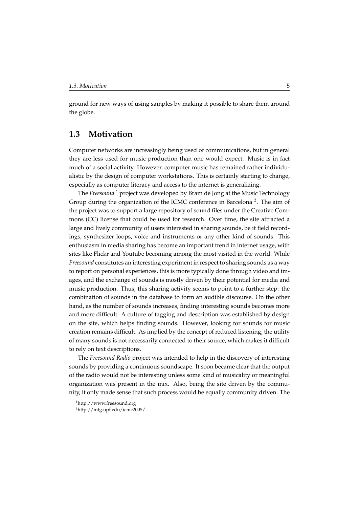ground for new ways of using samples by making it possible to share them around the globe.

### <span id="page-14-0"></span>**1.3 Motivation**

Computer networks are increasingly being used of communications, but in general they are less used for music production than one would expect. Music is in fact much of a social activity. However, computer music has remained rather individualistic by the design of computer workstations. This is certainly starting to change, especially as computer literacy and access to the internet is generalizing.

The *Freesound*<sup>[1](#page-14-1)</sup> project was developed by Bram de Jong at the Music Technology Group during the organization of the ICMC conference in Barcelona<sup>[2](#page-14-2)</sup>. The aim of the project was to support a large repository of sound files under the Creative Commons (CC) license that could be used for research. Over time, the site attracted a large and lively community of users interested in sharing sounds, be it field recordings, synthesizer loops, voice and instruments or any other kind of sounds. This enthusiasm in media sharing has become an important trend in internet usage, with sites like Flickr and Youtube becoming among the most visited in the world. While *Freesound* constitutes an interesting experiment in respect to sharing sounds as a way to report on personal experiences, this is more typically done through video and images, and the exchange of sounds is mostly driven by their potential for media and music production. Thus, this sharing activity seems to point to a further step: the combination of sounds in the database to form an audible discourse. On the other hand, as the number of sounds increases, finding interesting sounds becomes more and more difficult. A culture of tagging and description was established by design on the site, which helps finding sounds. However, looking for sounds for music creation remains difficult. As implied by the concept of reduced listening, the utility of many sounds is not necessarily connected to their source, which makes it difficult to rely on text descriptions.

The *Freesound Radio* project was intended to help in the discovery of interesting sounds by providing a continuous soundscape. It soon became clear that the output of the radio would not be interesting unless some kind of musicality or meaningful organization was present in the mix. Also, being the site driven by the community, it only made sense that such process would be equally community driven. The

<span id="page-14-1"></span><sup>1</sup>http://www.freesound.org

<span id="page-14-2"></span><sup>2</sup>http://mtg.upf.edu/icmc2005/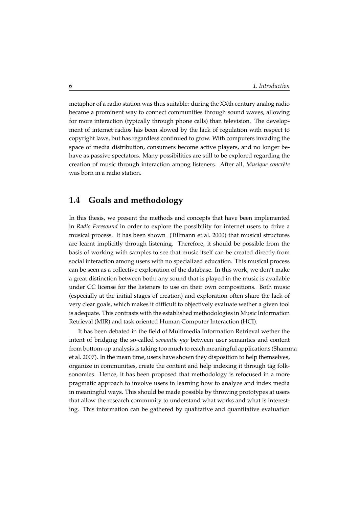metaphor of a radio station was thus suitable: during the XXth century analog radio became a prominent way to connect communities through sound waves, allowing for more interaction (typically through phone calls) than television. The development of internet radios has been slowed by the lack of regulation with respect to copyright laws, but has regardless continued to grow. With computers invading the space of media distribution, consumers become active players, and no longer behave as passive spectators. Many possibilities are still to be explored regarding the creation of music through interaction among listeners. After all, *Musique concrète* was born in a radio station.

### <span id="page-15-0"></span>**1.4 Goals and methodology**

In this thesis, we present the methods and concepts that have been implemented in *Radio Freesound* in order to explore the possibility for internet users to drive a musical process. It has been shown (Tillmann et al. 2000) that musical structures are learnt implicitly through listening. Therefore, it should be possible from the basis of working with samples to see that music itself can be created directly from social interaction among users with no specialized education. This musical process can be seen as a collective exploration of the database. In this work, we don't make a great distinction between both: any sound that is played in the music is available under CC license for the listeners to use on their own compositions. Both music (especially at the initial stages of creation) and exploration often share the lack of very clear goals, which makes it difficult to objectively evaluate wether a given tool is adequate. This contrasts with the established methodologies in Music Information Retrieval (MIR) and task oriented Human Computer Interaction (HCI).

It has been debated in the field of Multimedia Information Retrieval wether the intent of bridging the so-called *semantic gap* between user semantics and content from bottom-up analysis is taking too much to reach meaningful applications (Shamma et al. 2007). In the mean time, users have shown they disposition to help themselves, organize in communities, create the content and help indexing it through tag folksonomies. Hence, it has been proposed that methodology is refocused in a more pragmatic approach to involve users in learning how to analyze and index media in meaningful ways. This should be made possible by throwing prototypes at users that allow the research community to understand what works and what is interesting. This information can be gathered by qualitative and quantitative evaluation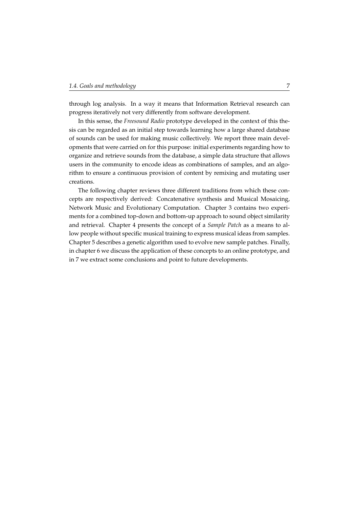through log analysis. In a way it means that Information Retrieval research can progress iteratively not very differently from software development.

In this sense, the *Freesound Radio* prototype developed in the context of this thesis can be regarded as an initial step towards learning how a large shared database of sounds can be used for making music collectively. We report three main developments that were carried on for this purpose: initial experiments regarding how to organize and retrieve sounds from the database, a simple data structure that allows users in the community to encode ideas as combinations of samples, and an algorithm to ensure a continuous provision of content by remixing and mutating user creations.

The following chapter reviews three different traditions from which these concepts are respectively derived: Concatenative synthesis and Musical Mosaicing, Network Music and Evolutionary Computation. Chapter [3](#page-32-0) contains two experiments for a combined top-down and bottom-up approach to sound object similarity and retrieval. Chapter [4](#page-46-0) presents the concept of a *Sample Patch* as a means to allow people without specific musical training to express musical ideas from samples. Chapter [5](#page-54-0) describes a genetic algorithm used to evolve new sample patches. Finally, in chapter [6](#page-60-0) we discuss the application of these concepts to an online prototype, and in [7](#page-66-0) we extract some conclusions and point to future developments.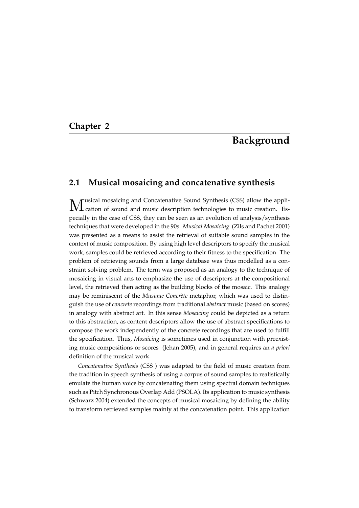### <span id="page-18-0"></span>**Chapter 2**

# **Background**

### <span id="page-18-1"></span>**2.1 Musical mosaicing and concatenative synthesis**

M usical mosaicing and Concatenative Sound Synthesis (CSS) allow the application of sound and music description technologies to music creation. Especially in the case of CSS, they can be seen as an evolution of analysis/synthesis techniques that were developed in the 90s. *Musical Mosaicing* (Zils and Pachet 2001) was presented as a means to assist the retrieval of suitable sound samples in the context of music composition. By using high level descriptors to specify the musical work, samples could be retrieved according to their fitness to the specification. The problem of retrieving sounds from a large database was thus modelled as a constraint solving problem. The term was proposed as an analogy to the technique of mosaicing in visual arts to emphasize the use of descriptors at the compositional level, the retrieved then acting as the building blocks of the mosaic. This analogy may be reminiscent of the *Musique Concrète* metaphor, which was used to distinguish the use of *concrete* recordings from traditional *abstract* music (based on scores) in analogy with abstract art. In this sense *Mosaicing* could be depicted as a return to this abstraction, as content descriptors allow the use of abstract specifications to compose the work independently of the concrete recordings that are used to fulfill the specification. Thus, *Mosaicing* is sometimes used in conjunction with preexisting music compositions or scores (Jehan 2005), and in general requires an *a priori* definition of the musical work.

*Concatenative Synthesis* (CSS ) was adapted to the field of music creation from the tradition in speech synthesis of using a corpus of sound samples to realistically emulate the human voice by concatenating them using spectral domain techniques such as Pitch Synchronous Overlap Add (PSOLA). Its application to music synthesis (Schwarz 2004) extended the concepts of musical mosaicing by defining the ability to transform retrieved samples mainly at the concatenation point. This application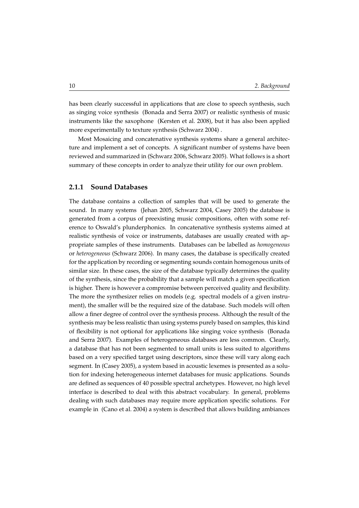has been clearly successful in applications that are close to speech synthesis, such as singing voice synthesis (Bonada and Serra 2007) or realistic synthesis of music instruments like the saxophone (Kersten et al. 2008), but it has also been applied more experimentally to texture synthesis (Schwarz 2004) .

Most Mosaicing and concatenative synthesis systems share a general architecture and implement a set of concepts. A significant number of systems have been reviewed and summarized in (Schwarz 2006, Schwarz 2005). What follows is a short summary of these concepts in order to analyze their utility for our own problem.

### <span id="page-19-0"></span>**2.1.1 Sound Databases**

The database contains a collection of samples that will be used to generate the sound. In many systems (Jehan 2005, Schwarz 2004, Casey 2005) the database is generated from a corpus of preexisting music compositions, often with some reference to Oswald's plunderphonics. In concatenative synthesis systems aimed at realistic synthesis of voice or instruments, databases are usually created with appropriate samples of these instruments. Databases can be labelled as *homogeneous* or *heterogeneous* (Schwarz 2006). In many cases, the database is specifically created for the application by recording or segmenting sounds contain homogenous units of similar size. In these cases, the size of the database typically determines the quality of the synthesis, since the probability that a sample will match a given specification is higher. There is however a compromise between perceived quality and flexibility. The more the synthesizer relies on models (e.g. spectral models of a given instrument), the smaller will be the required size of the database. Such models will often allow a finer degree of control over the synthesis process. Although the result of the synthesis may be less realistic than using systems purely based on samples, this kind of flexibility is not optional for applications like singing voice synthesis (Bonada and Serra 2007). Examples of heterogeneous databases are less common. Clearly, a database that has not been segmented to small units is less suited to algorithms based on a very specified target using descriptors, since these will vary along each segment. In (Casey 2005), a system based in acoustic lexemes is presented as a solution for indexing heterogeneous internet databases for music applications. Sounds are defined as sequences of 40 possible spectral archetypes. However, no high level interface is described to deal with this abstract vocabulary. In general, problems dealing with such databases may require more application specific solutions. For example in (Cano et al. 2004) a system is described that allows building ambiances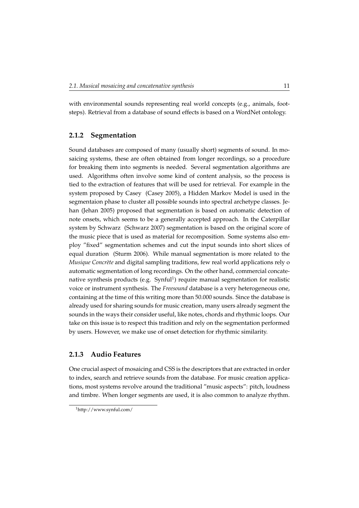with environmental sounds representing real world concepts (e.g., animals, footsteps). Retrieval from a database of sound effects is based on a WordNet ontology.

### <span id="page-20-0"></span>**2.1.2 Segmentation**

Sound databases are composed of many (usually short) segments of sound. In mosaicing systems, these are often obtained from longer recordings, so a procedure for breaking them into segments is needed. Several segmentation algorithms are used. Algorithms often involve some kind of content analysis, so the process is tied to the extraction of features that will be used for retrieval. For example in the system proposed by Casey (Casey 2005), a Hidden Markov Model is used in the segmentaion phase to cluster all possible sounds into spectral archetype classes. Jehan (Jehan 2005) proposed that segmentation is based on automatic detection of note onsets, which seems to be a generally accepted approach. In the Caterpillar system by Schwarz (Schwarz 2007) segmentation is based on the original score of the music piece that is used as material for recomposition. Some systems also employ "fixed" segmentation schemes and cut the input sounds into short slices of equal duration (Sturm 2006). While manual segmentation is more related to the *Musique Concrète* and digital sampling traditions, few real world applications rely o automatic segmentation of long recordings. On the other hand, commercial concatenative synthesis products (e.g.  $Synful<sup>1</sup>$  $Synful<sup>1</sup>$  $Synful<sup>1</sup>$ ) require manual segmentation for realistic voice or instrument synthesis. The *Freesound* database is a very heterogeneous one, containing at the time of this writing more than 50.000 sounds. Since the database is already used for sharing sounds for music creation, many users already segment the sounds in the ways their consider useful, like notes, chords and rhythmic loops. Our take on this issue is to respect this tradition and rely on the segmentation performed by users. However, we make use of onset detection for rhythmic similarity.

### <span id="page-20-1"></span>**2.1.3 Audio Features**

One crucial aspect of mosaicing and CSS is the descriptors that are extracted in order to index, search and retrieve sounds from the database. For music creation applications, most systems revolve around the traditional "music aspects": pitch, loudness and timbre. When longer segments are used, it is also common to analyze rhythm.

<span id="page-20-2"></span><sup>1</sup>http://www.synful.com/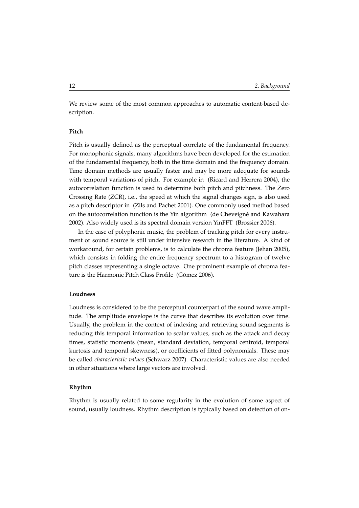We review some of the most common approaches to automatic content-based description.

### **Pitch**

Pitch is usually defined as the perceptual correlate of the fundamental frequency. For monophonic signals, many algorithms have been developed for the estimation of the fundamental frequency, both in the time domain and the frequency domain. Time domain methods are usually faster and may be more adequate for sounds with temporal variations of pitch. For example in (Ricard and Herrera 2004), the autocorrelation function is used to determine both pitch and pitchness. The Zero Crossing Rate (ZCR), i.e., the speed at which the signal changes sign, is also used as a pitch descriptor in (Zils and Pachet 2001). One commonly used method based on the autocorrelation function is the Yin algorithm (de Cheveigné and Kawahara 2002). Also widely used is its spectral domain version YinFFT (Brossier 2006).

In the case of polyphonic music, the problem of tracking pitch for every instrument or sound source is still under intensive research in the literature. A kind of workaround, for certain problems, is to calculate the chroma feature (Jehan 2005), which consists in folding the entire frequency spectrum to a histogram of twelve pitch classes representing a single octave. One prominent example of chroma feature is the Harmonic Pitch Class Profile (Gómez 2006).

### **Loudness**

Loudness is considered to be the perceptual counterpart of the sound wave amplitude. The amplitude envelope is the curve that describes its evolution over time. Usually, the problem in the context of indexing and retrieving sound segments is reducing this temporal information to scalar values, such as the attack and decay times, statistic moments (mean, standard deviation, temporal centroid, temporal kurtosis and temporal skewness), or coefficients of fitted polynomials. These may be called *characteristic values* (Schwarz 2007). Characteristic values are also needed in other situations where large vectors are involved.

### **Rhythm**

Rhythm is usually related to some regularity in the evolution of some aspect of sound, usually loudness. Rhythm description is typically based on detection of on-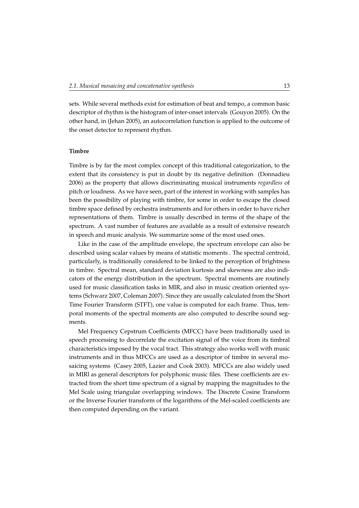sets. While several methods exist for estimation of beat and tempo, a common basic descriptor of rhythm is the histogram of inter-onset intervals (Gouyon 2005). On the other hand, in (Jehan 2005), an autocorrelation function is applied to the outcome of the onset detector to represent rhythm.

### **Timbre**

Timbre is by far the most complex concept of this traditional categorization, to the extent that its consistency is put in doubt by its negative definition (Donnadieu 2006) as the property that allows discriminating musical instruments *regardless* of pitch or loudness. As we have seen, part of the interest in working with samples has been the possibility of playing with timbre, for some in order to escape the closed timbre space defined by orchestra instruments and for others in order to have richer representations of them. Timbre is usually described in terms of the shape of the spectrum. A vast number of features are available as a result of extensive research in speech and music analysis. We summarize some of the most used ones.

Like in the case of the amplitude envelope, the spectrum envelope can also be described using scalar values by means of statistic moments . The spectral centroid, particularly, is traditionally considered to be linked to the perception of brightness in timbre. Spectral mean, standard deviation kurtosis and skewness are also indicators of the energy distribution in the spectrum. Spectral moments are routinely used for music classification tasks in MIR, and also in music creation oriented systems (Schwarz 2007, Coleman 2007). Since they are usually calculated from the Short Time Fourier Transform (STFT), one value is computed for each frame. Thus, temporal moments of the spectral moments are also computed to describe sound segments.

Mel Frequency Cepstrum Coefficients (MFCC) have been traditionally used in speech processing to decorrelate the excitation signal of the voice from its timbral characteristics imposed by the vocal tract. This strategy also works well with music instruments and in thus MFCCs are used as a descriptor of timbre in several mosaicing systems (Casey 2005, Lazier and Cook 2003). MFCCs are also widely used in MIRl as general descriptors for polyphonic music files. These coefficients are extracted from the short time spectrum of a signal by mapping the magnitudes to the Mel Scale using triangular overlapping windows. The Discrete Cosine Transform or the Inverse Fourier transform of the logarithms of the Mel-scaled coefficients are then computed depending on the variant.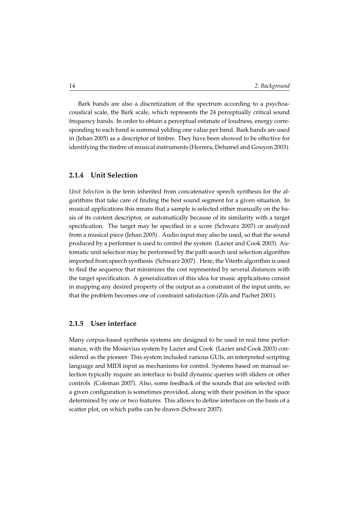Bark bands are also a discretization of the spectrum according to a psychoacoustical scale, the Bark scale, which represents the 24 perceptually critical sound frequency bands. In order to obtain a perceptual estimate of loudness, energy corresponding to each band is summed yelding one value per band. Bark bands are used in (Jehan 2005) as a descriptor of timbre. They have been showed to be effective for identifying the timbre of musical instruments (Herrera, Dehamel and Gouyon 2003).

### <span id="page-23-0"></span>**2.1.4 Unit Selection**

*Unit Selection* is the term inherited from concatenative speech synthesis for the algorithms that take care of finding the best sound segment for a given situation. In musical applications this means that a sample is selected either manually on the basis of its content descriptor, or automatically because of its similarity with a target specification. The target may be specified in a score (Schwarz 2007) or analyzed from a musical piece (Jehan 2005) . Audio input may also be used, so that the sound produced by a performer is used to control the system (Lazier and Cook 2003). Automatic unit selection may be performed by the path search unit selection algorithm imported from speech synthesis (Schwarz 2007) . Here, the Viterbi algorithm is used to find the sequence that minimizes the cost represented by several distances with the target specification. A generalization of this idea for music applications consist in mapping any desired property of the output as a constraint of the input units, so that the problem becomes one of constraint satisfaction (Zils and Pachet 2001).

### <span id="page-23-1"></span>**2.1.5 User interface**

Many corpus-based synthesis systems are designed to be used in real time performance, with the Mosievius system by Lazier and Cook (Lazier and Cook 2003) considered as the pioneer. This system included various GUIs, an interpreted scripting language and MIDI input as mechanisms for control. Systems based on manual selection typically require an interface to build dynamic queries with sliders or other controls (Coleman 2007). Also, some feedback of the sounds that are selected with a given configuration is sometimes provided, along with their position in the space determined by one or two features. This allows to define interfaces on the basis of a scatter plot, on which paths can be drawn (Schwarz 2007).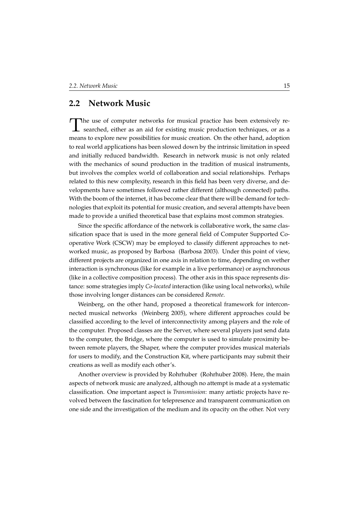### <span id="page-24-0"></span>**2.2 Network Music**

T he use of computer networks for musical practice has been extensively researched, either as an aid for existing music production techniques, or as a means to explore new possibilities for music creation. On the other hand, adoption to real world applications has been slowed down by the intrinsic limitation in speed and initially reduced bandwidth. Research in network music is not only related with the mechanics of sound production in the tradition of musical instruments, but involves the complex world of collaboration and social relationships. Perhaps related to this new complexity, research in this field has been very diverse, and developments have sometimes followed rather different (although connected) paths. With the boom of the internet, it has become clear that there will be demand for technologies that exploit its potential for music creation, and several attempts have been made to provide a unified theoretical base that explains most common strategies.

Since the specific affordance of the network is collaborative work, the same classification space that is used in the more general field of Computer Supported Cooperative Work (CSCW) may be employed to classify different approaches to networked music, as proposed by Barbosa (Barbosa 2003). Under this point of view, different projects are organized in one axis in relation to time, depending on wether interaction is synchronous (like for example in a live performance) or asynchronous (like in a collective composition process). The other axis in this space represents distance: some strategies imply *Co-located* interaction (like using local networks), while those involving longer distances can be considered *Remote*.

Weinberg, on the other hand, proposed a theoretical framework for interconnected musical networks (Weinberg 2005), where different approaches could be classified according to the level of interconnectivity among players and the role of the computer. Proposed classes are the Server, where several players just send data to the computer, the Bridge, where the computer is used to simulate proximity between remote players, the Shaper, where the computer provides musical materials for users to modify, and the Construction Kit, where participants may submit their creations as well as modify each other's.

Another overview is provided by Rohrhuber (Rohrhuber 2008). Here, the main aspects of network music are analyzed, although no attempt is made at a systematic classification. One important aspect is *Transmission*: many artistic projects have revolved between the fascination for telepresence and transparent communication on one side and the investigation of the medium and its opacity on the other. Not very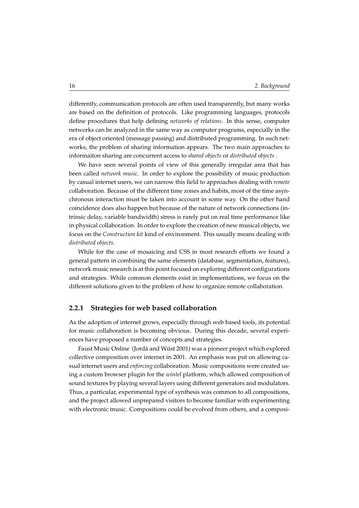differently, communication protocols are often used transparently, but many works are based on the definition of protocols. Like programming languages, protocols define procedures that help defining *networks of relations*. In this sense, computer networks can be analyzed in the same way as computer programs, especially in the era of object oriented (message passing) and distributed programming. In such networks, the problem of sharing information appears. The two main approaches to informaiton sharing are concurrent access to *shared objects* or *distributed objects*.

We have seen several points of view of this generally irregular area that has been called *network music*. In order to explore the possibility of music production by casual internet users, we can narrow this field to approaches dealing with *remote* collaboration. Because of the different time zones and habits, most of the time asynchronous interaction must be taken into account in some way. On the other hand coincidence does also happen but because of the nature of network connections (intrinsic delay, variable bandwidth) stress is rarely put on real time performance like in physical collaboration. In order to explore the creation of new musical objects, we focus on the *Construction kit* kind of environment. This usually means dealing with *distributed objects*.

While for the case of mosaicing and CSS in most research efforts we found a general pattern in combining the same elements (database, segmentation, features), network music research is at this point focused on exploring different configurations and strategies. While common elements exist in implementations, we focus on the different solutions given to the problem of how to organize remote collaboration.

### <span id="page-25-0"></span>**2.2.1 Strategies for web based collaboration**

As the adoption of internet grows, especially through web based tools, its potential for music collaboration is becoming obvious. During this decade, several experiences have proposed a number of concepts and strategies.

Faust Music Online (Jordà and Wüst 2001) was a pioneer project which explored collective composition over internet in 2001. An emphasis was put on allowing casual internet users and *enforcing* collaboration. Music compositions were created using a custom browser plugin for the *wintel* platform, which allowed composition of sound textures by playing several layers using different generators and modulators. Thus, a particular, experimental type of synthesis was common to all compositions, and the project allowed unprepared visitors to become familiar with experimenting with electronic music. Compositions could be evolved from others, and a composi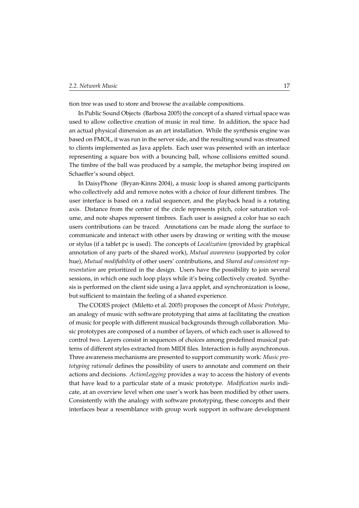tion tree was used to store and browse the available compositions.

In Public Sound Objects (Barbosa 2005) the concept of a shared virtual space was used to allow collective creation of music in real time. In addition, the space had an actual physical dimension as an art installation. While the synthesis engine was based on FMOL, it was run in the server side, and the resulting sound was streamed to clients implemented as Java applets. Each user was presented with an interface representing a square box with a bouncing ball, whose collisions emitted sound. The timbre of the ball was produced by a sample, the metaphor being inspired on Schaeffer's sound object.

In DaisyPhone (Bryan-Kinns 2004), a music loop is shared among participants who collectively add and remove notes with a choice of four different timbres. The user interface is based on a radial sequencer, and the playback head is a rotating axis. Distance from the center of the circle represents pitch, color saturation volume, and note shapes represent timbres. Each user is assigned a color hue so each users contributions can be traced. Annotations can be made along the surface to communicate and interact with other users by drawing or writing with the mouse or stylus (if a tablet pc is used). The concepts of *Localization* (provided by graphical annotation of any parts of the shared work), *Mutual awareness* (supported by color hue), *Mutual modifiability* of other users' contributions, and *Shared and consistent representation* are prioritized in the design. Users have the possibility to join several sessions, in which one such loop plays while it's being collectively created. Synthesis is performed on the client side using a Java applet, and synchronization is loose, but sufficient to maintain the feeling of a shared experience.

The CODES project (Miletto et al. 2005) proposes the concept of *Music Prototype*, an analogy of music with software prototyping that aims at facilitating the creation of music for people with different musical backgrounds through collaboration. Music prototypes are composed of a number of layers, of which each user is allowed to control two. Layers consist in sequences of choices among predefined musical patterns of different styles extracted from MIDI files. Interaction is fully asynchronous. Three awareness mechanisms are presented to support community work: *Music prototyping rationale* defines the possibility of users to annotate and comment on their actions and decisions. *ActionLogging* provides a way to access the history of events that have lead to a particular state of a music prototype. *Modification marks* indicate, at an overview level when one user's work has been modified by other users. Consistently with the analogy with software prototyping, these concepts and their interfaces bear a resemblance with group work support in software development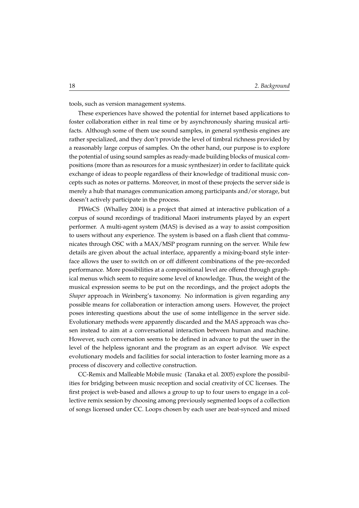tools, such as version management systems.

These experiences have showed the potential for internet based applications to foster collaboration either in real time or by asynchronously sharing musical artifacts. Although some of them use sound samples, in general synthesis engines are rather specialized, and they don't provide the level of timbral richness provided by a reasonably large corpus of samples. On the other hand, our purpose is to explore the potential of using sound samples as ready-made building blocks of musical compositions (more than as resources for a music synthesizer) in order to facilitate quick exchange of ideas to people regardless of their knowledge of traditional music concepts such as notes or patterns. Moreover, in most of these projects the server side is merely a hub that manages communication among participants and/or storage, but doesn't actively participate in the process.

PIWeCS (Whalley 2004) is a project that aimed at interactive publication of a corpus of sound recordings of traditional Maori instruments played by an expert performer. A multi-agent system (MAS) is devised as a way to assist composition to users without any experience. The system is based on a flash client that communicates through OSC with a MAX/MSP program running on the server. While few details are given about the actual interface, apparently a mixing-board style interface allows the user to switch on or off different combinations of the pre-recorded performance. More possibilities at a compositional level are offered through graphical menus which seem to require some level of knowledge. Thus, the weight of the musical expression seems to be put on the recordings, and the project adopts the *Shaper* approach in Weinberg's taxonomy. No information is given regarding any possible means for collaboration or interaction among users. However, the project poses interesting questions about the use of some intelligence in the server side. Evolutionary methods were apparently discarded and the MAS approach was chosen instead to aim at a conversational interaction between human and machine. However, such conversation seems to be defined in advance to put the user in the level of the helpless ignorant and the program as an expert advisor. We expect evolutionary models and facilities for social interaction to foster learning more as a process of discovery and collective construction.

CC-Remix and Malleable Mobile music (Tanaka et al. 2005) explore the possibilities for bridging between music reception and social creativity of CC licenses. The first project is web-based and allows a group to up to four users to engage in a collective remix session by choosing among previously segmented loops of a collection of songs licensed under CC. Loops chosen by each user are beat-synced and mixed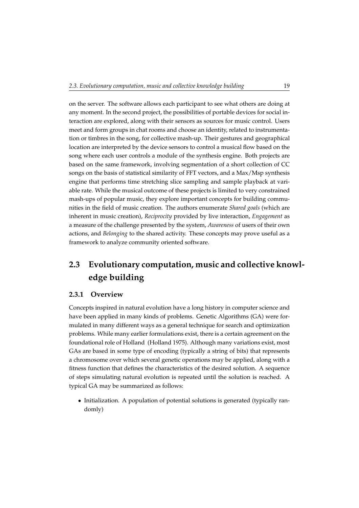on the server. The software allows each participant to see what others are doing at any moment. In the second project, the possibilities of portable devices for social interaction are explored, along with their sensors as sources for music control. Users meet and form groups in chat rooms and choose an identity, related to instrumentation or timbres in the song, for collective mash-up. Their gestures and geographical location are interpreted by the device sensors to control a musical flow based on the song where each user controls a module of the synthesis engine. Both projects are based on the same framework, involving segmentation of a short collection of CC songs on the basis of statistical similarity of FFT vectors, and a Max/Msp synthesis engine that performs time stretching slice sampling and sample playback at variable rate. While the musical outcome of these projects is limited to very constrained mash-ups of popular music, they explore important concepts for building communities in the field of music creation. The authors enumerate *Shared goals* (which are inherent in music creation), *Reciprocity* provided by live interaction, *Engagement* as a measure of the challenge presented by the system, *Awareness* of users of their own actions, and *Belonging* to the shared activity. These concepts may prove useful as a framework to analyze community oriented software.

## <span id="page-28-0"></span>**2.3 Evolutionary computation, music and collective knowledge building**

### <span id="page-28-1"></span>**2.3.1 Overview**

Concepts inspired in natural evolution have a long history in computer science and have been applied in many kinds of problems. Genetic Algorithms (GA) were formulated in many different ways as a general technique for search and optimization problems. While many earlier formulations exist, there is a certain agreement on the foundational role of Holland (Holland 1975). Although many variations exist, most GAs are based in some type of encoding (typically a string of bits) that represents a chromosome over which several genetic operations may be applied, along with a fitness function that defines the characteristics of the desired solution. A sequence of steps simulating natural evolution is repeated until the solution is reached. A typical GA may be summarized as follows:

• Initialization. A population of potential solutions is generated (typically randomly)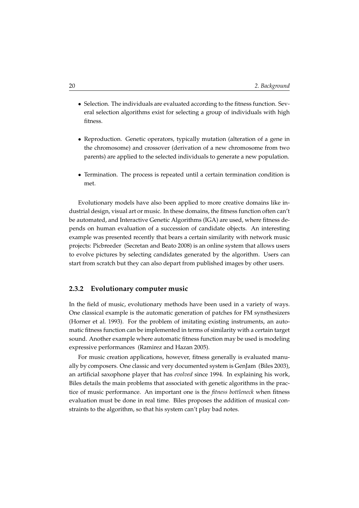- Selection. The individuals are evaluated according to the fitness function. Several selection algorithms exist for selecting a group of individuals with high fitness.
- Reproduction. Genetic operators, typically mutation (alteration of a gene in the chromosome) and crossover (derivation of a new chromosome from two parents) are applied to the selected individuals to generate a new population.
- Termination. The process is repeated until a certain termination condition is met.

Evolutionary models have also been applied to more creative domains like industrial design, visual art or music. In these domains, the fitness function often can't be automated, and Interactive Genetic Algorithms (IGA) are used, where fitness depends on human evaluation of a succession of candidate objects. An interesting example was presented recently that bears a certain similarity with network music projects: Picbreeder (Secretan and Beato 2008) is an online system that allows users to evolve pictures by selecting candidates generated by the algorithm. Users can start from scratch but they can also depart from published images by other users.

### <span id="page-29-0"></span>**2.3.2 Evolutionary computer music**

In the field of music, evolutionary methods have been used in a variety of ways. One classical example is the automatic generation of patches for FM synsthesizers (Horner et al. 1993). For the problem of imitating existing instruments, an automatic fitness function can be implemented in terms of similarity with a certain target sound. Another example where automatic fitness function may be used is modeling expressive performances (Ramirez and Hazan 2005).

For music creation applications, however, fitness generally is evaluated manually by composers. One classic and very documented system is GenJam (Biles 2003), an artificial saxophone player that has *evolved* since 1994. In explaining his work, Biles details the main problems that associated with genetic algorithms in the practice of music performance. An important one is the *fitness bottleneck* when fitness evaluation must be done in real time. Biles proposes the addition of musical constraints to the algorithm, so that his system can't play bad notes.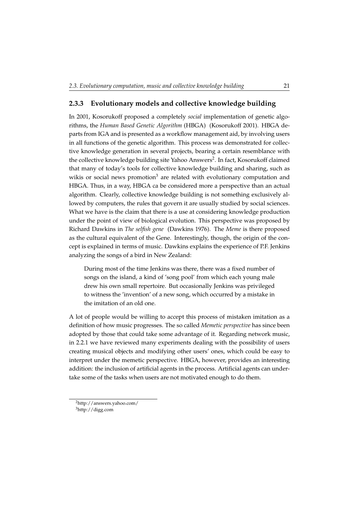### <span id="page-30-0"></span>**2.3.3 Evolutionary models and collective knowledge building**

In 2001, Kosorukoff proposed a completely *social* implementation of genetic algorithms, the *Human Based Genetic Algorithm* (HBGA) (Kosorukoff 2001). HBGA departs from IGA and is presented as a workflow management aid, by involving users in all functions of the genetic algorithm. This process was demonstrated for collective knowledge generation in several projects, bearing a certain resemblance with the collective knowledge building site Yahoo Answers<sup>[2](#page-30-1)</sup>. In fact, Kosorukoff claimed that many of today's tools for collective knowledge building and sharing, such as wikis or social news promotion<sup>[3](#page-30-2)</sup> are related with evolutionary computation and HBGA. Thus, in a way, HBGA ca be considered more a perspective than an actual algorithm. Clearly, collective knowledge building is not something exclusively allowed by computers, the rules that govern it are usually studied by social sciences. What we have is the claim that there is a use at considering knowledge production under the point of view of biological evolution. This perspective was proposed by Richard Dawkins in *The selfish gene* (Dawkins 1976). The *Meme* is there proposed as the cultural equivalent of the Gene. Interestingly, though, the origin of the concept is explained in terms of music. Dawkins explains the experience of P.F. Jenkins analyzing the songs of a bird in New Zealand:

During most of the time Jenkins was there, there was a fixed number of songs on the island, a kind of 'song pool' from which each young male drew his own small repertoire. But occasionally Jenkins was privileged to witness the 'invention' of a new song, which occurred by a mistake in the imitation of an old one.

A lot of people would be willing to accept this process of mistaken imitation as a definition of how music progresses. The so called *Memetic perspective* has since been adopted by those that could take some advantage of it. Regarding network music, in [2.2.1](#page-25-0) we have reviewed many experiments dealing with the possibility of users creating musical objects and modifying other users' ones, which could be easy to interpret under the memetic perspective. HBGA, however, provides an interesting addition: the inclusion of artificial agents in the process. Artificial agents can undertake some of the tasks when users are not motivated enough to do them.

<span id="page-30-1"></span><sup>2</sup>http://answers.yahoo.com/

<span id="page-30-2"></span><sup>3</sup>http://digg.com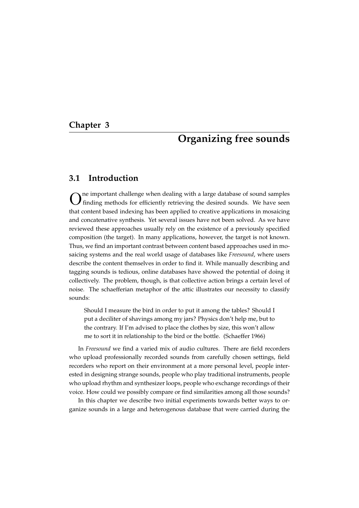### <span id="page-32-0"></span>**Chapter 3**

## **Organizing free sounds**

### <span id="page-32-1"></span>**3.1 Introduction**

O ne important challenge when dealing with a large database of sound samples finding methods for efficiently retrieving the desired sounds. We have seen that content based indexing has been applied to creative applications in mosaicing and concatenative synthesis. Yet several issues have not been solved. As we have reviewed these approaches usually rely on the existence of a previously specified composition (the target). In many applications, however, the target is not known. Thus, we find an important contrast between content based approaches used in mosaicing systems and the real world usage of databases like *Freesound*, where users describe the content themselves in order to find it. While manually describing and tagging sounds is tedious, online databases have showed the potential of doing it collectively. The problem, though, is that collective action brings a certain level of noise. The schaefferian metaphor of the attic illustrates our necessity to classify sounds:

Should I measure the bird in order to put it among the tables? Should I put a deciliter of shavings among my jars? Physics don't help me, but to the contrary. If I'm advised to place the clothes by size, this won't allow me to sort it in relationship to the bird or the bottle. (Schaeffer 1966)

In *Freesound* we find a varied mix of audio cultures. There are field recorders who upload professionally recorded sounds from carefully chosen settings, field recorders who report on their environment at a more personal level, people interested in designing strange sounds, people who play traditional instruments, people who upload rhythm and synthesizer loops, people who exchange recordings of their voice. How could we possibly compare or find similarities among all those sounds?

In this chapter we describe two initial experiments towards better ways to organize sounds in a large and heterogenous database that were carried during the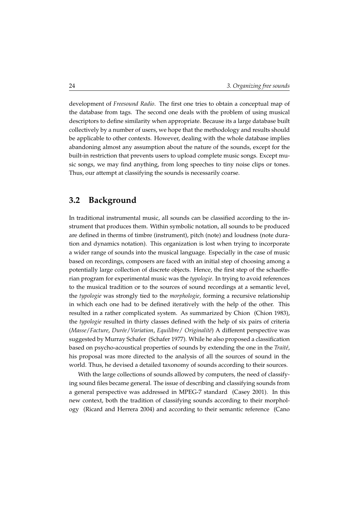development of *Freesound Radio*. The first one tries to obtain a conceptual map of the database from tags. The second one deals with the problem of using musical descriptors to define similarity when appropriate. Because its a large database built collectively by a number of users, we hope that the methodology and results should be applicable to other contexts. However, dealing with the whole database implies abandoning almost any assumption about the nature of the sounds, except for the built-in restriction that prevents users to upload complete music songs. Except music songs, we may find anything, from long speeches to tiny noise clips or tones. Thus, our attempt at classifying the sounds is necessarily coarse.

### <span id="page-33-0"></span>**3.2 Background**

In traditional instrumental music, all sounds can be classified according to the instrument that produces them. Within symbolic notation, all sounds to be produced are defined in therms of timbre (instrument), pitch (note) and loudness (note duration and dynamics notation). This organization is lost when trying to incorporate a wider range of sounds into the musical language. Especially in the case of music based on recordings, composers are faced with an initial step of choosing among a potentially large collection of discrete objects. Hence, the first step of the schaefferian program for experimental music was the *typologie*. In trying to avoid references to the musical tradition or to the sources of sound recordings at a semantic level, the *typologie* was strongly tied to the *morphologie*, forming a recursive relationship in which each one had to be defined iteratively with the help of the other. This resulted in a rather complicated system. As summarized by Chion (Chion 1983), the *typologie* resulted in thirty classes defined with the help of six pairs of criteria (*Masse*/*Facture*, *Dur´ee*/*Variation*, *Equilibre*/ *Originalit´e*) A different perspective was suggested by Murray Schafer (Schafer 1977). While he also proposed a classification based on psycho-acoustical properties of sounds by extending the one in the *Traité*, his proposal was more directed to the analysis of all the sources of sound in the world. Thus, he devised a detailed taxonomy of sounds according to their sources.

With the large collections of sounds allowed by computers, the need of classifying sound files became general. The issue of describing and classifying sounds from a general perspective was addressed in MPEG-7 standard (Casey 2001). In this new context, both the tradition of classifying sounds according to their morphology (Ricard and Herrera 2004) and according to their semantic reference (Cano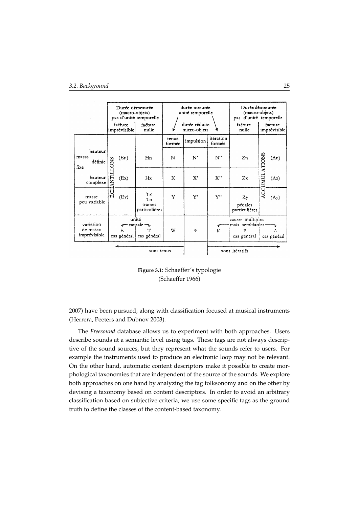|                                       | Durée démesurée<br>(macro-objets)<br>facture<br>imprévisible |                  | pas d'unité temporelle<br>facture<br>nulle  |                 | durée mesurée<br>unité temporelle<br>durée réduite<br>micro-objets |                     | Durée démesurée<br>(macro-objets)<br>pas d'unité temporelle<br>facture<br>facture<br>nulle<br>imprévisible |               |                  |
|---------------------------------------|--------------------------------------------------------------|------------------|---------------------------------------------|-----------------|--------------------------------------------------------------------|---------------------|------------------------------------------------------------------------------------------------------------|---------------|------------------|
|                                       |                                                              |                  |                                             | tenue<br>formée | impulsion                                                          | itération<br>formée |                                                                                                            |               |                  |
| hauteur<br>masse<br>définie<br>fixe   | <b>ANTILLONS</b><br>ÊС                                       | (En)             | Hn                                          | N               | N'                                                                 | $N$ "               | Zn                                                                                                         |               | (An)             |
| hauteur<br>complexe                   |                                                              | (EX)             | Hx                                          | $\mathbf x$     | $\mathbf{x}$ ,                                                     | X''                 | Zx                                                                                                         | ACCUMULATIONS | (Ax)             |
| masse<br>peu variable                 |                                                              | (Ev)             | Tx<br>'I'n<br>trames<br>particulières       | Y               | Y'                                                                 | Y"                  | Zy<br>pédales<br>particulières                                                                             |               | $(\Lambda y)$    |
| variation<br>de masse<br>imprévisible |                                                              | E<br>cas général | unité<br>causale $\neg$<br>т<br>cas général | w               | φ                                                                  | К                   | causes multiples<br>mais semblables-<br>P<br>cas général                                                   |               | Α<br>cas général |
| sons tenus                            |                                                              |                  |                                             |                 |                                                                    |                     | sons itératifs                                                                                             |               |                  |

**Figure 3.1**: Schaeffer's typologie (Schaeffer 1966)

2007) have been pursued, along with classification focused at musical instruments (Herrera, Peeters and Dubnov 2003).

The *Freesound* database allows us to experiment with both approaches. Users describe sounds at a semantic level using tags. These tags are not always descriptive of the sound sources, but they represent what the sounds refer to users. For example the instruments used to produce an electronic loop may not be relevant. On the other hand, automatic content descriptors make it possible to create morphological taxonomies that are independent of the source of the sounds. We explore both approaches on one hand by analyzing the tag folksonomy and on the other by devising a taxonomy based on content descriptors. In order to avoid an arbitrary classification based on subjective criteria, we use some specific tags as the ground truth to define the classes of the content-based taxonomy.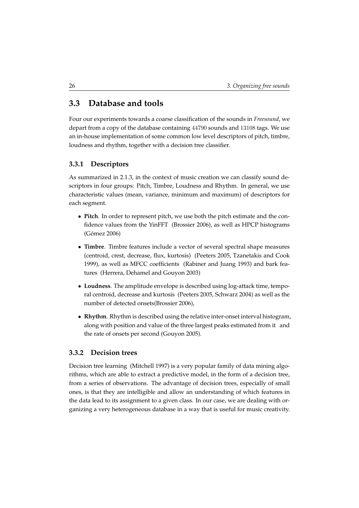## <span id="page-35-0"></span>**3.3 Database and tools**

Four our experiments towards a coarse classification of the sounds in *Freesound*, we depart from a copy of the database containing 44790 sounds and 13108 tags. We use an in-house implementation of some common low level descriptors of pitch, timbre, loudness and rhythm, together with a decision tree classifier.

### <span id="page-35-1"></span>**3.3.1 Descriptors**

As summarized in [2.1.3,](#page-20-1) in the context of music creation we can classify sound descriptors in four groups: Pitch, Timbre, Loudness and Rhythm. In general, we use characteristic values (mean, variance, minimum and maximum) of descriptors for each segment.

- **Pitch**. In order to represent pitch, we use both the pitch estimate and the confidence values from the YinFFT (Brossier 2006), as well as HPCP histograms (Gómez 2006)
- **Timbre**. Timbre features include a vector of several spectral shape measures (centroid, crest, decrease, flux, kurtosis) (Peeters 2005, Tzanetakis and Cook 1999), as well as MFCC coefficients (Rabiner and Juang 1993) and bark features (Herrera, Dehamel and Gouyon 2003)
- **Loudness**. The amplitude envelope is described using log-attack time, temporal centroid, decrease and kurtosis (Peeters 2005, Schwarz 2004) as well as the number of detected onsets(Brossier 2006),
- **Rhythm**. Rhythm is described using the relative inter-onset interval histogram, along with position and value of the three largest peaks estimated from it and the rate of onsets per second (Gouyon 2005).

### <span id="page-35-2"></span>**3.3.2 Decision trees**

Decision tree learning (Mitchell 1997) is a very popular family of data mining algorithms, which are able to extract a predictive model, in the form of a decision tree, from a series of observations. The advantage of decision trees, especially of small ones, is that they are intelligible and allow an understanding of which features in the data lead to its assignment to a given class. In our case, we are dealing with organizing a very heterogeneous database in a way that is useful for music creativity.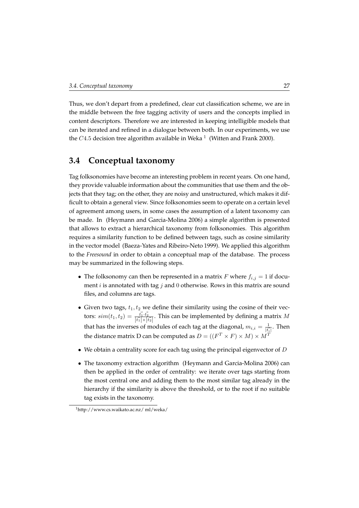Thus, we don't depart from a predefined, clear cut classification scheme, we are in the middle between the free tagging activity of users and the concepts implied in content descriptors. Therefore we are interested in keeping intelligible models that can be iterated and refined in a dialogue between both. In our experiments, we use the  $C4.5$  decision tree algorithm available in Weka  $^1\,$  $^1\,$  $^1\,$  (Witten and Frank 2000).

## **3.4 Conceptual taxonomy**

Tag folksonomies have become an interesting problem in recent years. On one hand, they provide valuable information about the communities that use them and the objects that they tag; on the other, they are noisy and unstructured, which makes it difficult to obtain a general view. Since folksonomies seem to operate on a certain level of agreement among users, in some cases the assumption of a latent taxonomy can be made. In (Heymann and Garcia-Molina 2006) a simple algorithm is presented that allows to extract a hierarchical taxonomy from folksonomies. This algorithm requires a similarity function to be defined between tags, such as cosine similarity in the vector model (Baeza-Yates and Ribeiro-Neto 1999). We applied this algorithm to the *Freesound* in order to obtain a conceptual map of the database. The process may be summarized in the following steps.

- The folksonomy can then be represented in a matrix F where  $f_{i,j} = 1$  if document *i* is annotated with tag *j* and 0 otherwise. Rows in this matrix are sound files, and columns are tags.
- Given two tags,  $t_1, t_2$  we define their similarity using the cosine of their vectors:  $sim(t_1, t_2) = \frac{t_1^T \cdot t_2^T}{|t_1^T| \times |t_2^T|}$ . This can be implemented by defining a matrix M that has the inverses of modules of each tag at the diagonal,  $m_{i,i} = \frac{1}{|t_i|}$ . Then the distance matrix D can be computed as  $D = ((F^T \times F) \times M) \times M^T$
- We obtain a centrality score for each tag using the principal eigenvector of  $D$
- The taxonomy extraction algorithm (Heymann and Garcia-Molina 2006) can then be applied in the order of centrality: we iterate over tags starting from the most central one and adding them to the most similar tag already in the hierarchy if the similarity is above the threshold, or to the root if no suitable tag exists in the taxonomy.

<span id="page-36-0"></span><sup>1</sup>http://www.cs.waikato.ac.nz/ ml/weka/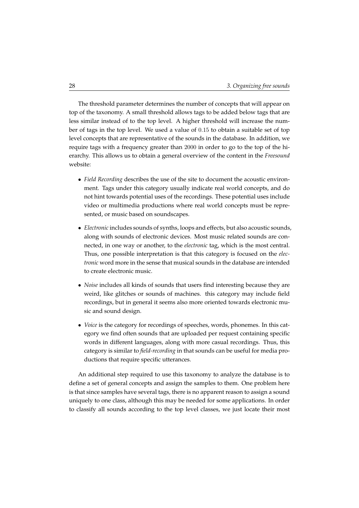The threshold parameter determines the number of concepts that will appear on top of the taxonomy. A small threshold allows tags to be added below tags that are less similar instead of to the top level. A higher threshold will increase the number of tags in the top level. We used a value of 0.15 to obtain a suitable set of top level concepts that are representative of the sounds in the database. In addition, we require tags with a frequency greater than 2000 in order to go to the top of the hierarchy. This allows us to obtain a general overview of the content in the *Freesound* website:

- *Field Recording* describes the use of the site to document the acoustic environment. Tags under this category usually indicate real world concepts, and do not hint towards potential uses of the recordings. These potential uses include video or multimedia productions where real world concepts must be represented, or music based on soundscapes.
- *Electronic* includes sounds of synths, loops and effects, but also acoustic sounds, along with sounds of electronic devices. Most music related sounds are connected, in one way or another, to the *electronic* tag, which is the most central. Thus, one possible interpretation is that this category is focused on the *electronic* word more in the sense that musical sounds in the database are intended to create electronic music.
- *Noise* includes all kinds of sounds that users find interesting because they are weird, like glitches or sounds of machines. this category may include field recordings, but in general it seems also more oriented towards electronic music and sound design.
- *Voice* is the category for recordings of speeches, words, phonemes. In this category we find often sounds that are uploaded per request containing specific words in different languages, along with more casual recordings. Thus, this category is similar to *field-recording* in that sounds can be useful for media productions that require specific utterances.

An additional step required to use this taxonomy to analyze the database is to define a set of general concepts and assign the samples to them. One problem here is that since samples have several tags, there is no apparent reason to assign a sound uniquely to one class, although this may be needed for some applications. In order to classify all sounds according to the top level classes, we just locate their most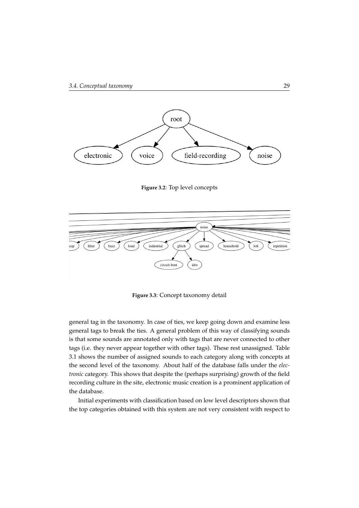

**Figure 3.2**: Top level concepts



**Figure 3.3**: Concept taxonomy detail

general tag in the taxonomy. In case of ties, we keep going down and examine less general tags to break the ties. A general problem of this way of classifying sounds is that some sounds are annotated only with tags that are never connected to other tags (i.e. they never appear together with other tags). These rest unassigned. Table [3.1](#page-39-0) shows the number of assigned sounds to each category along with concepts at the second level of the taxonomy. About half of the database falls under the *electronic* category. This shows that despite the (perhaps surprising) growth of the field recording culture in the site, electronic music creation is a prominent application of the database.

Initial experiments with classification based on low level descriptors shown that the top categories obtained with this system are not very consistent with respect to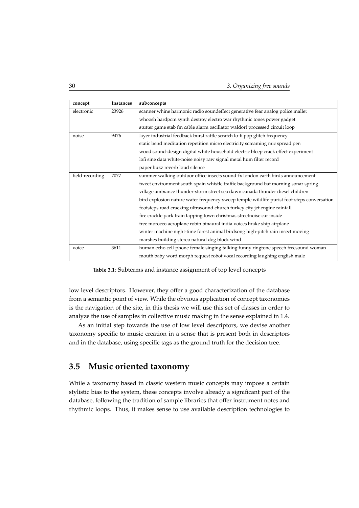30 *3. Organizing free sounds*

| concept         | Instances | subconcepts                                                                                |  |  |  |
|-----------------|-----------|--------------------------------------------------------------------------------------------|--|--|--|
| electronic      | 23926     | scanner whine harmonic radio soundeffect generative fear analog police mallet              |  |  |  |
|                 |           | whoosh hardpcm synth destroy electro war rhythmic tones power gadget                       |  |  |  |
|                 |           | stutter game stab fm cable alarm oscillator waldorf processed circuit loop                 |  |  |  |
| noise           | 9476      | layer industrial feedback burst rattle scratch lo-fi pop glitch frequency                  |  |  |  |
|                 |           | static bend meditation repetition micro electricity screaming mic spread pen               |  |  |  |
|                 |           | wood sound-design digital white household electric bleep crack effect experiment           |  |  |  |
|                 |           | lofi sine data white-noise noisy raw signal metal hum filter record                        |  |  |  |
|                 |           | paper buzz reverb loud silence                                                             |  |  |  |
| field-recording | 7077      | summer walking outdoor office insects sound-fx london earth birds announcement             |  |  |  |
|                 |           | tweet environment south-spain whistle traffic background bat morning sonar spring          |  |  |  |
|                 |           | village ambiance thunder-storm street sea dawn canada thunder diesel children              |  |  |  |
|                 |           | bird explosion nature water frequency-sweep temple wildlife purist foot-steps conversation |  |  |  |
|                 |           | footsteps road cracking ultrasound church turkey city jet engine rainfall                  |  |  |  |
|                 |           | fire crackle park train tapping town christmas streetnoise car inside                      |  |  |  |
|                 |           | tree morocco aeroplane robin binaural india voices brake ship airplane                     |  |  |  |
|                 |           | winter machine night-time forest animal birdsong high-pitch rain insect moving             |  |  |  |
|                 |           | marshes building stereo natural dog block wind                                             |  |  |  |
| voice           | 3611      | human echo cell-phone female singing talking funny ringtone speech freesound woman         |  |  |  |
|                 |           | mouth baby word morph request robot vocal recording laughing english male                  |  |  |  |

<span id="page-39-0"></span>**Table 3.1**: Subterms and instance assignment of top level concepts

low level descriptors. However, they offer a good characterization of the database from a semantic point of view. While the obvious application of concept taxonomies is the navigation of the site, in this thesis we will use this set of classes in order to analyze the use of samples in collective music making in the sense explained in [1.4.](#page-15-0)

As an initial step towards the use of low level descriptors, we devise another taxonomy specific to music creation in a sense that is present both in descriptors and in the database, using specific tags as the ground truth for the decision tree.

### **3.5 Music oriented taxonomy**

While a taxonomy based in classic western music concepts may impose a certain stylistic bias to the system, these concepts involve already a significant part of the database, following the tradition of sample libraries that offer instrument notes and rhythmic loops. Thus, it makes sense to use available description technologies to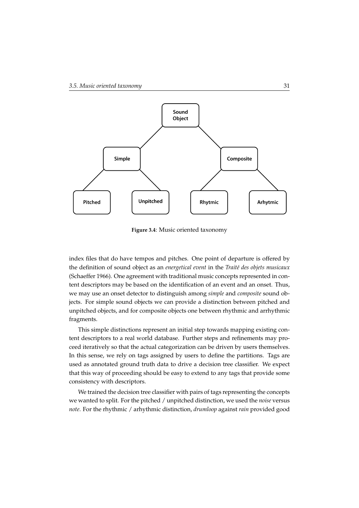

**Figure 3.4**: Music oriented taxonomy

index files that do have tempos and pitches. One point of departure is offered by the definition of sound object as an *energetical event* in the *Traité des objets musicaux* (Schaeffer 1966). One agreement with traditional music concepts represented in content descriptors may be based on the identification of an event and an onset. Thus, we may use an onset detector to distinguish among *simple* and *composite* sound objects. For simple sound objects we can provide a distinction between pitched and unpitched objects, and for composite objects one between rhythmic and arrhythmic fragments.

This simple distinctions represent an initial step towards mapping existing content descriptors to a real world database. Further steps and refinements may proceed iteratively so that the actual categorization can be driven by users themselves. In this sense, we rely on tags assigned by users to define the partitions. Tags are used as annotated ground truth data to drive a decision tree classifier. We expect that this way of proceeding should be easy to extend to any tags that provide some consistency with descriptors.

We trained the decision tree classifier with pairs of tags representing the concepts we wanted to split. For the pitched / unpitched distinction, we used the *noise* versus *note*. For the rhythmic / arhythmic distinction, *drumloop* against *rain* provided good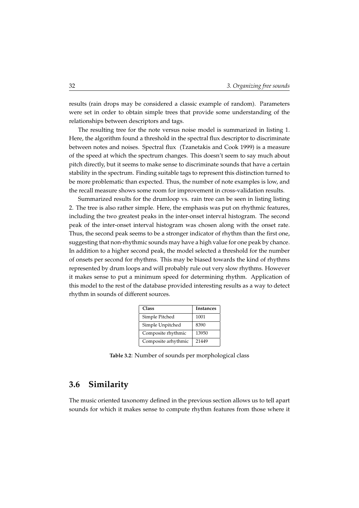results (rain drops may be considered a classic example of random). Parameters were set in order to obtain simple trees that provide some understanding of the relationships between descriptors and tags.

The resulting tree for the note versus noise model is summarized in listing [1.](#page-42-0) Here, the algorithm found a threshold in the spectral flux descriptor to discriminate between notes and noises. Spectral flux (Tzanetakis and Cook 1999) is a measure of the speed at which the spectrum changes. This doesn't seem to say much about pitch directly, but it seems to make sense to discriminate sounds that have a certain stability in the spectrum. Finding suitable tags to represent this distinction turned to be more problematic than expected. Thus, the number of note examples is low, and the recall measure shows some room for improvement in cross-validation results.

Summarized results for the drumloop vs. rain tree can be seen in listing listing [2.](#page-43-0) The tree is also rather simple. Here, the emphasis was put on rhythmic features, including the two greatest peaks in the inter-onset interval histogram. The second peak of the inter-onset interval histogram was chosen along with the onset rate. Thus, the second peak seems to be a stronger indicator of rhythm than the first one, suggesting that non-rhythmic sounds may have a high value for one peak by chance. In addition to a higher second peak, the model selected a threshold for the number of onsets per second for rhythms. This may be biased towards the kind of rhythms represented by drum loops and will probably rule out very slow rhythms. However it makes sense to put a minimum speed for determining rhythm. Application of this model to the rest of the database provided interesting results as a way to detect rhythm in sounds of different sources.

| Class               | Instances |
|---------------------|-----------|
| Simple Pitched      | 1001      |
| Simple Unpitched    | 8390      |
| Composite rhythmic  | 13950     |
| Composite arhythmic | 21449     |

**Table 3.2**: Number of sounds per morphological class

## **3.6 Similarity**

The music oriented taxonomy defined in the previous section allows us to tell apart sounds for which it makes sense to compute rhythm features from those where it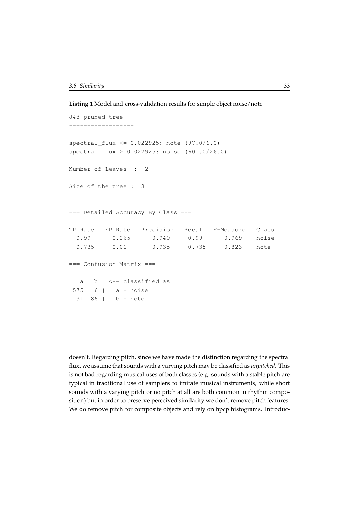<span id="page-42-0"></span>**Listing 1** Model and cross-validation results for simple object noise/note

```
J48 pruned tree
------------------
spectral_flux <= 0.022925: note (97.0/6.0)
spectral_flux > 0.022925: noise (601.0/26.0)
Number of Leaves : 2
Size of the tree : 3
=== Detailed Accuracy By Class ===
TP Rate FP Rate Precision Recall F-Measure Class
 0.99 0.265 0.949 0.99 0.969 noise
 0.735 0.01 0.935 0.735 0.823 note
=== Confusion Matrix ===
  a b <-- classified as
575 6 | a = noise31 86 | b = note
```
doesn't. Regarding pitch, since we have made the distinction regarding the spectral flux, we assume that sounds with a varying pitch may be classified as *unpitched*. This is not bad regarding musical uses of both classes (e.g. sounds with a stable pitch are typical in traditional use of samplers to imitate musical instruments, while short sounds with a varying pitch or no pitch at all are both common in rhythm composition) but in order to preserve perceived similarity we don't remove pitch features. We do remove pitch for composite objects and rely on hpcp histograms. Introduc-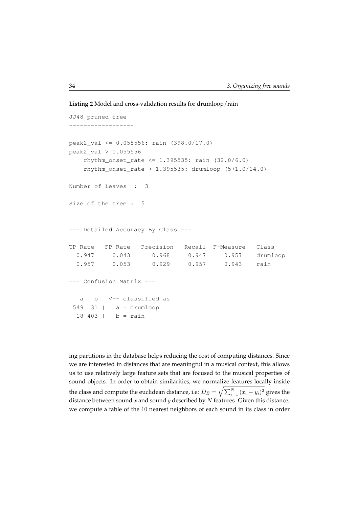```
Listing 2 Model and cross-validation results for drumloop/rain
```

```
JJ48 pruned tree
------------------
peak2_val <= 0.055556: rain (398.0/17.0)
peak2_val > 0.055556
| rhythm_onset_rate <= 1.395535: rain (32.0/6.0)
   rhythm_onset_rate > 1.395535: drumloop (571.0/14.0)Number of Leaves : 3
Size of the tree : 5
=== Detailed Accuracy By Class ===
TP Rate FP Rate Precision Recall F-Measure Class
 0.947  0.043  0.968  0.947  0.957  drumloop
 0.957 0.053 0.929 0.957 0.943 rain
=== Confusion Matrix ===
  a b <-- classified as
 549 31 | a = drumloop
 18 403 | b = rain
```
ing partitions in the database helps reducing the cost of computing distances. Since we are interested in distances that are meaningful in a musical context, this allows us to use relatively large feature sets that are focused to the musical properties of sound objects. In order to obtain similarities, we normalize features locally inside the class and compute the euclidean distance, i.e:  $D_E = \sqrt{\sum_{i=1}^N {(x_i-y_i)^2}}$  gives the distance between sound x and sound y described by  $N$  features. Given this distance, we compute a table of the 10 nearest neighbors of each sound in its class in order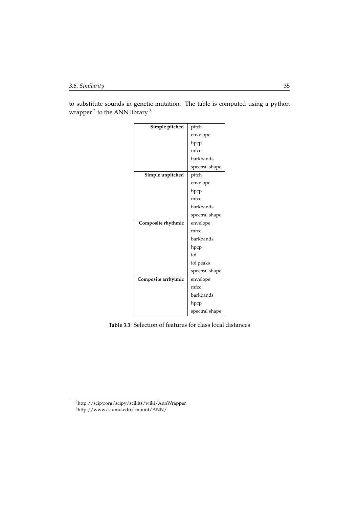to substitute sounds in genetic mutation. The table is computed using a python wrapper <sup>[2](#page-44-0)</sup> to the ANN library <sup>[3](#page-44-1)</sup>

| Simple pitched      | pitch          |  |
|---------------------|----------------|--|
|                     | envelope       |  |
|                     | hpcp           |  |
|                     | mfcc           |  |
|                     | barkbands      |  |
|                     | spectral shape |  |
| Simple unpitched    | pitch          |  |
|                     | envelope       |  |
|                     | hpcp           |  |
|                     | mfcc           |  |
|                     | barkbands      |  |
|                     | spectral shape |  |
| Composite rhythmic  | envelope       |  |
|                     | mfcc           |  |
|                     | barkbands      |  |
|                     | hpcp           |  |
|                     | ioi            |  |
|                     | ioi peaks      |  |
|                     | spectral shape |  |
| Composite arrhytmic | envelope       |  |
|                     | mfcc           |  |
|                     | barkbands      |  |
|                     | hpcp           |  |
|                     | spectral shape |  |

**Table 3.3**: Selection of features for class local distances

<span id="page-44-1"></span><span id="page-44-0"></span><sup>2</sup>http://scipy.org/scipy/scikits/wiki/AnnWrapper <sup>3</sup>http://www.cs.umd.edu/ mount/ANN/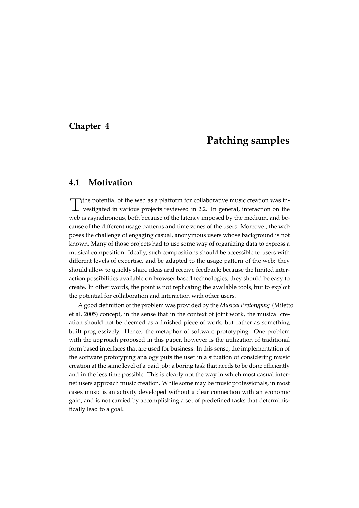#### <span id="page-46-0"></span>**Chapter 4**

## **Patching samples**

## **4.1 Motivation**

The potential of the web as a platform for collaborative music creation was investigated in various projects reviewed in 2.2. In general, interaction on the vestigated in various projects reviewed in [2.2.](#page-24-0) In general, interaction on the web is asynchronous, both because of the latency imposed by the medium, and because of the different usage patterns and time zones of the users. Moreover, the web poses the challenge of engaging casual, anonymous users whose background is not known. Many of those projects had to use some way of organizing data to express a musical composition. Ideally, such compositions should be accessible to users with different levels of expertise, and be adapted to the usage pattern of the web: they should allow to quickly share ideas and receive feedback; because the limited interaction possibilities available on browser based technologies, they should be easy to create. In other words, the point is not replicating the available tools, but to exploit the potential for collaboration and interaction with other users.

A good definition of the problem was provided by the *Musical Prototyping* (Miletto et al. 2005) concept, in the sense that in the context of joint work, the musical creation should not be deemed as a finished piece of work, but rather as something built progressively. Hence, the metaphor of software prototyping. One problem with the approach proposed in this paper, however is the utilization of traditional form based interfaces that are used for business. In this sense, the implementation of the software prototyping analogy puts the user in a situation of considering music creation at the same level of a paid job: a boring task that needs to be done efficiently and in the less time possible. This is clearly not the way in which most casual internet users approach music creation. While some may be music professionals, in most cases music is an activity developed without a clear connection with an economic gain, and is not carried by accomplishing a set of predefined tasks that deterministically lead to a goal.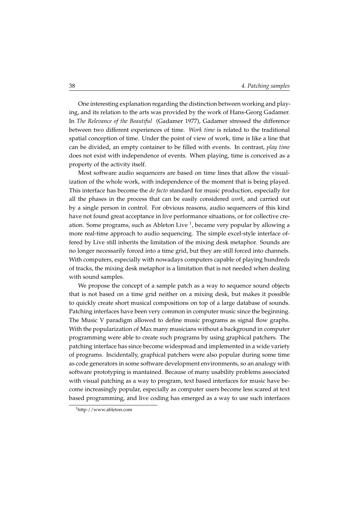One interesting explanation regarding the distinction between working and playing, and its relation to the arts was provided by the work of Hans-Georg Gadamer. In *The Relevance of the Beautiful* (Gadamer 1977), Gadamer stressed the difference between two different experiences of time. *Work time* is related to the traditional spatial conception of time. Under the point of view of work, time is like a line that can be divided, an empty container to be filled with events. In contrast, *play time* does not exist with independence of events. When playing, time is conceived as a property of the activity itself.

Most software audio sequencers are based on time lines that allow the visualization of the whole work, with independence of the moment that is being played. This interface has become the *de facto* standard for music production, especially for all the phases in the process that can be easily considered *work*, and carried out by a single person in control. For obvious reasons, audio sequencers of this kind have not found great acceptance in live performance situations, or for collective creation. Some programs, such as Ableton Live  $^1$  $^1$ , became very popular by allowing a more real-time approach to audio sequencing. The simple excel-style interface offered by Live still inherits the limitation of the mixing desk metaphor. Sounds are no longer necessarily forced into a time grid, but they are still forced into channels. With computers, especially with nowadays computers capable of playing hundreds of tracks, the mixing desk metaphor is a limitation that is not needed when dealing with sound samples.

We propose the concept of a sample patch as a way to sequence sound objects that is not based on a time grid neither on a mixing desk, but makes it possible to quickly create short musical compositions on top of a large database of sounds. Patching interfaces have been very common in computer music since the beginning. The Music V paradigm allowed to define music programs as signal flow graphs. With the popularization of Max many musicians without a background in computer programming were able to create such programs by using graphical patchers. The patching interface has since become widespread and implemented in a wide variety of programs. Incidentally, graphical patchers were also popular during some time as code generators in some software development environments, so an analogy with software prototyping is mantained. Because of many usability problems associated with visual patching as a way to program, text based interfaces for music have become increasingly popular, especially as computer users become less scared at text based programming, and live coding has emerged as a way to use such interfaces

<span id="page-47-0"></span><sup>1</sup>http://www.ableton.com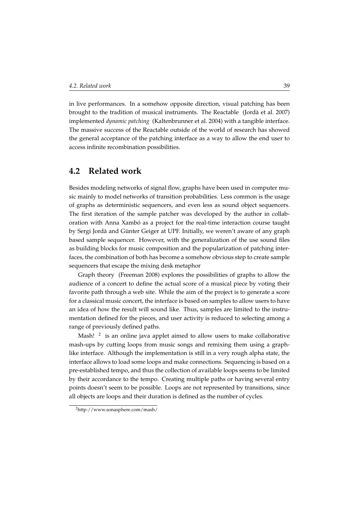in live performances. In a somehow opposite direction, visual patching has been brought to the tradition of musical instruments. The Reactable (Jorda et al. 2007) ` implemented *dynamic patching* (Kaltenbrunner et al. 2004) with a tangible interface. The massive success of the Reactable outside of the world of research has showed the general acceptance of the patching interface as a way to allow the end user to access infinite recombination possibilities.

## **4.2 Related work**

Besides modeling networks of signal flow, graphs have been used in computer music mainly to model networks of transition probabilities. Less common is the usage of graphs as deterministic sequencers, and even less as sound object sequencers. The first iteration of the sample patcher was developed by the author in collaboration with Anna Xambó as a project for the real-time interaction course taught by Sergi Jordà and Günter Geiger at UPF. Initially, we weren't aware of any graph based sample sequencer. However, with the generalization of the use sound files as building blocks for music composition and the popularization of patching interfaces, the combination of both has become a somehow obvious step to create sample sequencers that escape the mixing desk metaphor

Graph theory (Freeman 2008) explores the possibilities of graphs to allow the audience of a concert to define the actual score of a musical piece by voting their favorite path through a web site. While the aim of the project is to generate a score for a classical music concert, the interface is based on samples to allow users to have an idea of how the result will sound like. Thus, samples are limited to the instrumentation defined for the pieces, and user activity is reduced to selecting among a range of previously defined paths.

Mash!  $<sup>2</sup>$  $<sup>2</sup>$  $<sup>2</sup>$  is an online java applet aimed to allow users to make collaborative</sup> mash-ups by cutting loops from music songs and remixing them using a graphlike interface. Although the implementation is still in a very rough alpha state, the interface allows to load some loops and make connections. Sequencing is based on a pre-established tempo, and thus the collection of available loops seems to be limited by their accordance to the tempo. Creating multiple paths or having several entry points doesn't seem to be possible. Loops are not represented by transitions, since all objects are loops and their duration is defined as the number of cycles.

<span id="page-48-0"></span><sup>2</sup>http://www.sonasphere.com/mash/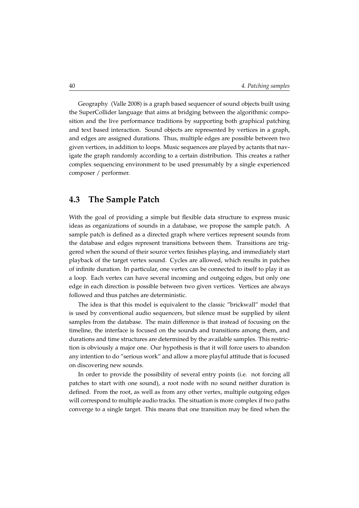Geography (Valle 2008) is a graph based sequencer of sound objects built using the SuperCollider language that aims at bridging between the algorithmic composition and the live performance traditions by supporting both graphical patching and text based interaction. Sound objects are represented by vertices in a graph, and edges are assigned durations. Thus, multiple edges are possible between two given vertices, in addition to loops. Music sequences are played by actants that navigate the graph randomly according to a certain distribution. This creates a rather complex sequencing environment to be used presumably by a single experienced composer / performer.

#### **4.3 The Sample Patch**

With the goal of providing a simple but flexible data structure to express music ideas as organizations of sounds in a database, we propose the sample patch. A sample patch is defined as a directed graph where vertices represent sounds from the database and edges represent transitions between them. Transitions are triggered when the sound of their source vertex finishes playing, and immediately start playback of the target vertex sound. Cycles are allowed, which results in patches of infinite duration. In particular, one vertex can be connected to itself to play it as a loop. Each vertex can have several incoming and outgoing edges, but only one edge in each direction is possible between two given vertices. Vertices are always followed and thus patches are deterministic.

The idea is that this model is equivalent to the classic "brickwall" model that is used by conventional audio sequencers, but silence must be supplied by silent samples from the database. The main difference is that instead of focusing on the timeline, the interface is focused on the sounds and transitions among them, and durations and time structures are determined by the available samples. This restriction is obviously a major one. Our hypothesis is that it will force users to abandon any intention to do "serious work" and allow a more playful attitude that is focused on discovering new sounds.

In order to provide the possibility of several entry points (i.e. not forcing all patches to start with one sound), a root node with no sound neither duration is defined. From the root, as well as from any other vertex, multiple outgoing edges will correspond to multiple audio tracks. The situation is more complex if two paths converge to a single target. This means that one transition may be fired when the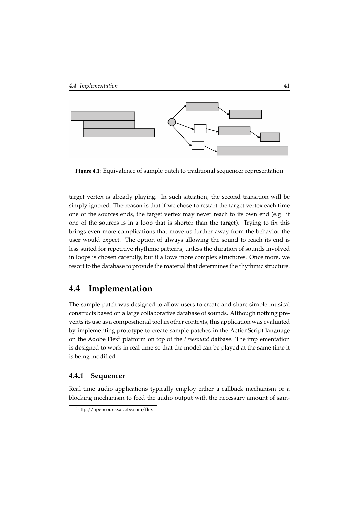

**Figure 4.1**: Equivalence of sample patch to traditional sequencer representation

target vertex is already playing. In such situation, the second transition will be simply ignored. The reason is that if we chose to restart the target vertex each time one of the sources ends, the target vertex may never reach to its own end (e.g. if one of the sources is in a loop that is shorter than the target). Trying to fix this brings even more complications that move us further away from the behavior the user would expect. The option of always allowing the sound to reach its end is less suited for repetitive rhythmic patterns, unless the duration of sounds involved in loops is chosen carefully, but it allows more complex structures. Once more, we resort to the database to provide the material that determines the rhythmic structure.

## **4.4 Implementation**

The sample patch was designed to allow users to create and share simple musical constructs based on a large collaborative database of sounds. Although nothing prevents its use as a compositional tool in other contexts, this application was evaluated by implementing prototype to create sample patches in the ActionScript language on the Adobe Flex[3](#page-50-0) platform on top of the *Freesound* datbase. The implementation is designed to work in real time so that the model can be played at the same time it is being modified.

#### **4.4.1 Sequencer**

Real time audio applications typically employ either a callback mechanism or a blocking mechanism to feed the audio output with the necessary amount of sam-

<span id="page-50-0"></span><sup>3</sup>http://opensource.adobe.com/flex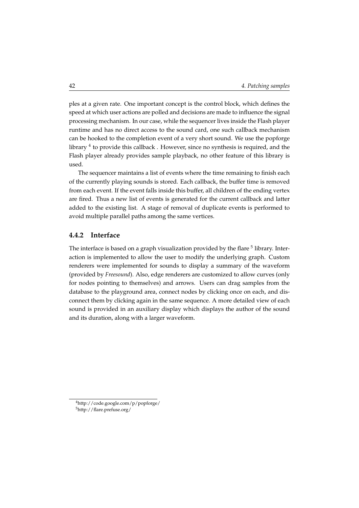ples at a given rate. One important concept is the control block, which defines the speed at which user actions are polled and decisions are made to influence the signal processing mechanism. In our case, while the sequencer lives inside the Flash player runtime and has no direct access to the sound card, one such callback mechanism can be hooked to the completion event of a very short sound. We use the popforge library <sup>[4](#page-51-0)</sup> to provide this callback . However, since no synthesis is required, and the Flash player already provides sample playback, no other feature of this library is used.

The sequencer maintains a list of events where the time remaining to finish each of the currently playing sounds is stored. Each callback, the buffer time is removed from each event. If the event falls inside this buffer, all children of the ending vertex are fired. Thus a new list of events is generated for the current callback and latter added to the existing list. A stage of removal of duplicate events is performed to avoid multiple parallel paths among the same vertices.

#### **4.4.2 Interface**

The interface is based on a graph visualization provided by the flare  $^5$  $^5$  library. Interaction is implemented to allow the user to modify the underlying graph. Custom renderers were implemented for sounds to display a summary of the waveform (provided by *Freesound*). Also, edge renderers are customized to allow curves (only for nodes pointing to themselves) and arrows. Users can drag samples from the database to the playground area, connect nodes by clicking once on each, and disconnect them by clicking again in the same sequence. A more detailed view of each sound is provided in an auxiliary display which displays the author of the sound and its duration, along with a larger waveform.

<span id="page-51-1"></span><span id="page-51-0"></span><sup>4</sup>http://code.google.com/p/popforge/ <sup>5</sup>http://flare.prefuse.org/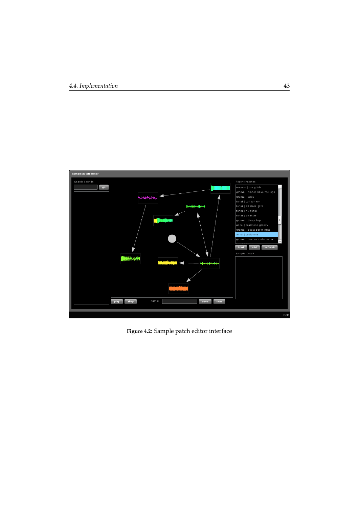

**Figure 4.2**: Sample patch editor interface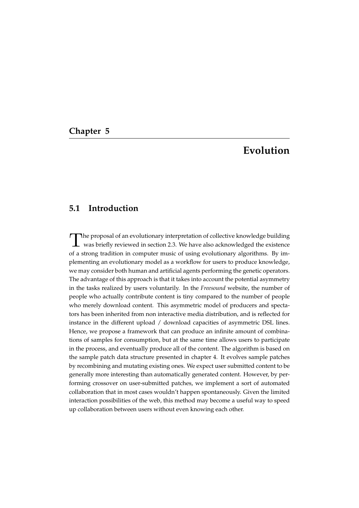## **Chapter 5**

## **Evolution**

## **5.1 Introduction**

The proposal of an evolutionary interpretation of collective knowledge building<br>was briefly reviewed in section [2.3.](#page-28-0) We have also acknowledged the existence he proposal of an evolutionary interpretation of collective knowledge building of a strong tradition in computer music of using evolutionary algorithms. By implementing an evolutionary model as a workflow for users to produce knowledge, we may consider both human and artificial agents performing the genetic operators. The advantage of this approach is that it takes into account the potential asymmetry in the tasks realized by users voluntarily. In the *Freesound* website, the number of people who actually contribute content is tiny compared to the number of people who merely download content. This asymmetric model of producers and spectators has been inherited from non interactive media distribution, and is reflected for instance in the different upload / download capacities of asymmetric DSL lines. Hence, we propose a framework that can produce an infinite amount of combinations of samples for consumption, but at the same time allows users to participate in the process, and eventually produce all of the content. The algorithm is based on the sample patch data structure presented in chapter 4. It evolves sample patches by recombining and mutating existing ones. We expect user submitted content to be generally more interesting than automatically generated content. However, by performing crossover on user-submitted patches, we implement a sort of automated collaboration that in most cases wouldn't happen spontaneously. Given the limited interaction possibilities of the web, this method may become a useful way to speed up collaboration between users without even knowing each other.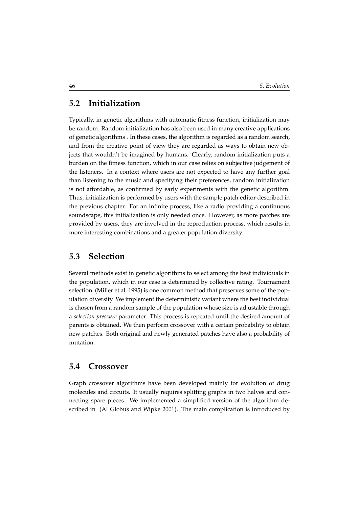## **5.2 Initialization**

Typically, in genetic algorithms with automatic fitness function, initialization may be random. Random initialization has also been used in many creative applications of genetic algorithms . In these cases, the algorithm is regarded as a random search, and from the creative point of view they are regarded as ways to obtain new objects that wouldn't be imagined by humans. Clearly, random initialization puts a burden on the fitness function, which in our case relies on subjective judgement of the listeners. In a context where users are not expected to have any further goal than listening to the music and specifying their preferences, random initialization is not affordable, as confirmed by early experiments with the genetic algorithm. Thus, initialization is performed by users with the sample patch editor described in the previous chapter. For an infinite process, like a radio providing a continuous soundscape, this initialization is only needed once. However, as more patches are provided by users, they are involved in the reproduction process, which results in more interesting combinations and a greater population diversity.

### **5.3 Selection**

Several methods exist in genetic algorithms to select among the best individuals in the population, which in our case is determined by collective rating. Tournament selection (Miller et al. 1995) is one common method that preserves some of the population diversity. We implement the deterministic variant where the best individual is chosen from a random sample of the population whose size is adjustable through a *selection pressure* parameter. This process is repeated until the desired amount of parents is obtained. We then perform crossover with a certain probability to obtain new patches. Both original and newly generated patches have also a probability of mutation.

### **5.4 Crossover**

Graph crossover algorithms have been developed mainly for evolution of drug molecules and circuits. It usually requires splitting graphs in two halves and connecting spare pieces. We implemented a simplified version of the algorithm described in (Al Globus and Wipke 2001). The main complication is introduced by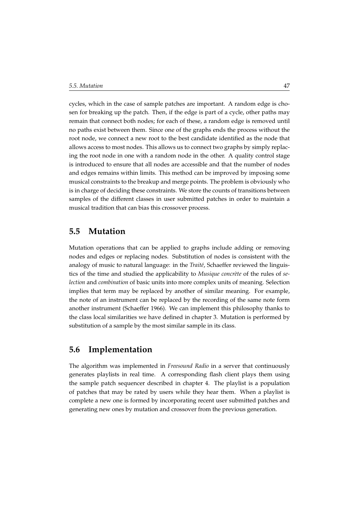cycles, which in the case of sample patches are important. A random edge is chosen for breaking up the patch. Then, if the edge is part of a cycle, other paths may remain that connect both nodes; for each of these, a random edge is removed until no paths exist between them. Since one of the graphs ends the process without the root node, we connect a new root to the best candidate identified as the node that allows access to most nodes. This allows us to connect two graphs by simply replacing the root node in one with a random node in the other. A quality control stage is introduced to ensure that all nodes are accessible and that the number of nodes and edges remains within limits. This method can be improved by imposing some musical constraints to the breakup and merge points. The problem is obviously who is in charge of deciding these constraints. We store the counts of transitions between samples of the different classes in user submitted patches in order to maintain a musical tradition that can bias this crossover process.

## **5.5 Mutation**

Mutation operations that can be applied to graphs include adding or removing nodes and edges or replacing nodes. Substitution of nodes is consistent with the analogy of music to natural language: in the *Traité*, Schaeffer reviewed the linguistics of the time and studied the applicability to *Musique concrète* of the rules of *selection* and *combination* of basic units into more complex units of meaning. Selection implies that term may be replaced by another of similar meaning. For example, the note of an instrument can be replaced by the recording of the same note form another instrument (Schaeffer 1966). We can implement this philosophy thanks to the class local similarities we have defined in chapter 3. Mutation is performed by substitution of a sample by the most similar sample in its class.

## **5.6 Implementation**

The algorithm was implemented in *Freesound Radio* in a server that continuously generates playlists in real time. A corresponding flash client plays them using the sample patch sequencer described in chapter [4.](#page-46-0) The playlist is a population of patches that may be rated by users while they hear them. When a playlist is complete a new one is formed by incorporating recent user submitted patches and generating new ones by mutation and crossover from the previous generation.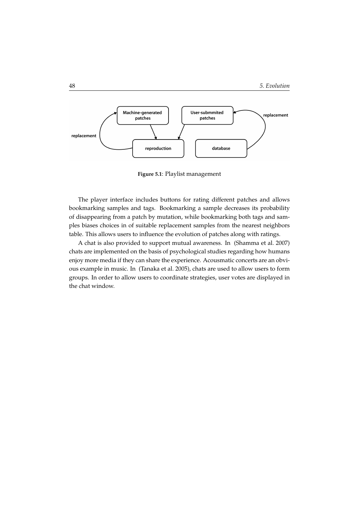

**Figure 5.1**: Playlist management

The player interface includes buttons for rating different patches and allows bookmarking samples and tags. Bookmarking a sample decreases its probability of disappearing from a patch by mutation, while bookmarking both tags and samples biases choices in of suitable replacement samples from the nearest neighbors table. This allows users to influence the evolution of patches along with ratings.

A chat is also provided to support mutual awareness. In (Shamma et al. 2007) chats are implemented on the basis of psychological studies regarding how humans enjoy more media if they can share the experience. Acousmatic concerts are an obvious example in music. In (Tanaka et al. 2005), chats are used to allow users to form groups. In order to allow users to coordinate strategies, user votes are displayed in the chat window.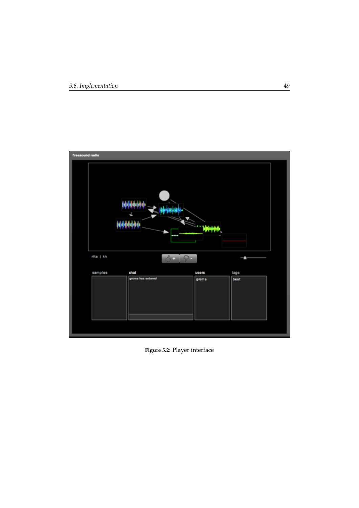

**Figure 5.2**: Player interface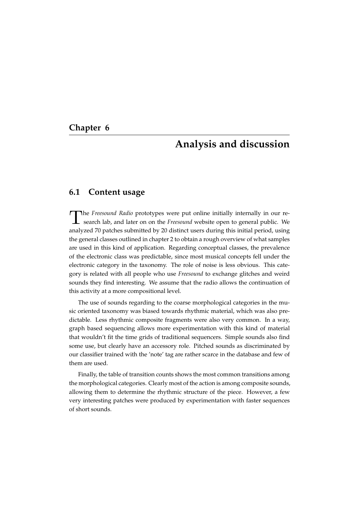## **Chapter 6**

## **Analysis and discussion**

#### **6.1 Content usage**

T he *Freesound Radio* prototypes were put online initially internally in our research lab, and later on on the *Freesound* website open to general public. We analyzed 70 patches submitted by 20 distinct users during this initial period, using the general classes outlined in chapter 2 to obtain a rough overview of what samples are used in this kind of application. Regarding conceptual classes, the prevalence of the electronic class was predictable, since most musical concepts fell under the electronic category in the taxonomy. The role of noise is less obvious. This category is related with all people who use *Freesound* to exchange glitches and weird sounds they find interesting. We assume that the radio allows the continuation of this activity at a more compositional level.

The use of sounds regarding to the coarse morphological categories in the music oriented taxonomy was biased towards rhythmic material, which was also predictable. Less rhythmic composite fragments were also very common. In a way, graph based sequencing allows more experimentation with this kind of material that wouldn't fit the time grids of traditional sequencers. Simple sounds also find some use, but clearly have an accessory role. Pitched sounds as discriminated by our classifier trained with the 'note' tag are rather scarce in the database and few of them are used.

Finally, the table of transition counts shows the most common transitions among the morphological categories. Clearly most of the action is among composite sounds, allowing them to determine the rhythmic structure of the piece. However, a few very interesting patches were produced by experimentation with faster sequences of short sounds.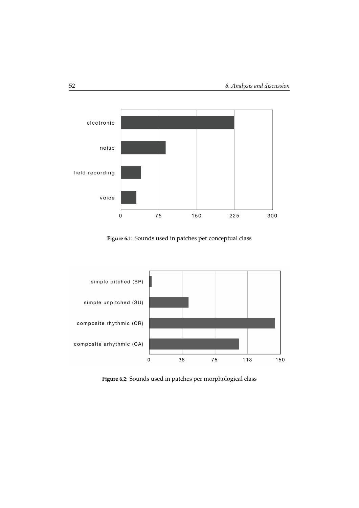

**Figure 6.1**: Sounds used in patches per conceptual class



**Figure 6.2**: Sounds used in patches per morphological class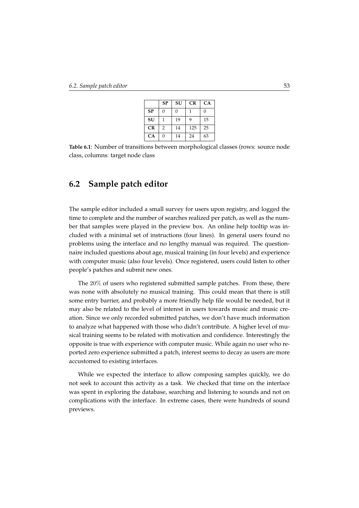|           | <b>SP</b>     | SU       | CR  | CA |
|-----------|---------------|----------|-----|----|
| <b>SP</b> | O             | $\Omega$ |     | 0  |
| SU        |               | 19       | 9   | 15 |
| CR        | $\mathcal{P}$ | 14       | 125 | 25 |
| CA        | O             | 14       | 24  | 63 |

**Table 6.1**: Number of transitions between morphological classes (rows: source node class, columns: target node class

## **6.2 Sample patch editor**

The sample editor included a small survey for users upon registry, and logged the time to complete and the number of searches realized per patch, as well as the number that samples were played in the preview box. An online help tooltip was included with a minimal set of instructions (four lines). In general users found no problems using the interface and no lengthy manual was required. The questionnaire included questions about age, musical training (in four levels) and experience with computer music (also four levels). Once registered, users could listen to other people's patches and submit new ones.

The 20% of users who registered submitted sample patches. From these, there was none with absolutely no musical training. This could mean that there is still some entry barrier, and probably a more friendly help file would be needed, but it may also be related to the level of interest in users towards music and music creation. Since we only recorded submitted patches, we don't have much information to analyze what happened with those who didn't contribute. A higher level of musical training seems to be related with motivation and confidence. Interestingly the opposite is true with experience with computer music. While again no user who reported zero experience submitted a patch, interest seems to decay as users are more accustomed to existing interfaces.

While we expected the interface to allow composing samples quickly, we do not seek to account this activity as a task. We checked that time on the interface was spent in exploring the database, searching and listening to sounds and not on complications with the interface. In extreme cases, there were hundreds of sound previews.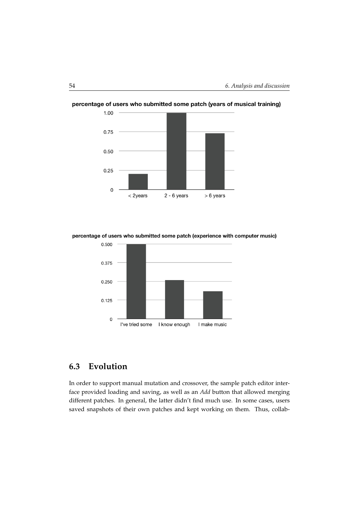

percentage of users who submitted some patch (years of musical training)

percentage of users who submitted some patch (experience with computer music)



## **6.3 Evolution**

In order to support manual mutation and crossover, the sample patch editor interface provided loading and saving, as well as an *Add* button that allowed merging different patches. In general, the latter didn't find much use. In some cases, users saved snapshots of their own patches and kept working on them. Thus, collab-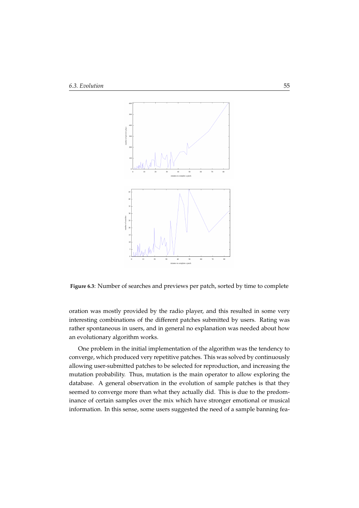

**Figure 6.3**: Number of searches and previews per patch, sorted by time to complete

oration was mostly provided by the radio player, and this resulted in some very interesting combinations of the different patches submitted by users. Rating was rather spontaneous in users, and in general no explanation was needed about how an evolutionary algorithm works.

One problem in the initial implementation of the algorithm was the tendency to converge, which produced very repetitive patches. This was solved by continuously allowing user-submitted patches to be selected for reproduction, and increasing the mutation probability. Thus, mutation is the main operator to allow exploring the database. A general observation in the evolution of sample patches is that they seemed to converge more than what they actually did. This is due to the predominance of certain samples over the mix which have stronger emotional or musical information. In this sense, some users suggested the need of a sample banning fea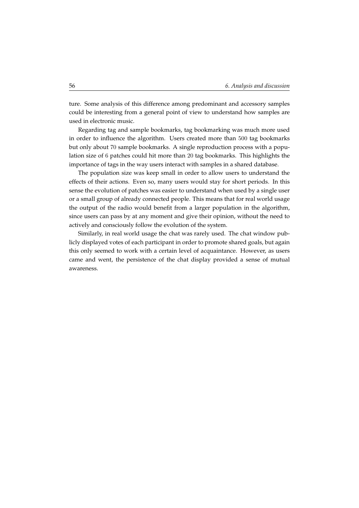ture. Some analysis of this difference among predominant and accessory samples could be interesting from a general point of view to understand how samples are used in electronic music.

Regarding tag and sample bookmarks, tag bookmarking was much more used in order to influence the algorithm. Users created more than 500 tag bookmarks but only about 70 sample bookmarks. A single reproduction process with a population size of 6 patches could hit more than 20 tag bookmarks. This highlights the importance of tags in the way users interact with samples in a shared database.

The population size was keep small in order to allow users to understand the effects of their actions. Even so, many users would stay for short periods. In this sense the evolution of patches was easier to understand when used by a single user or a small group of already connected people. This means that for real world usage the output of the radio would benefit from a larger population in the algorithm, since users can pass by at any moment and give their opinion, without the need to actively and consciously follow the evolution of the system.

Similarly, in real world usage the chat was rarely used. The chat window publicly displayed votes of each participant in order to promote shared goals, but again this only seemed to work with a certain level of acquaintance. However, as users came and went, the persistence of the chat display provided a sense of mutual awareness.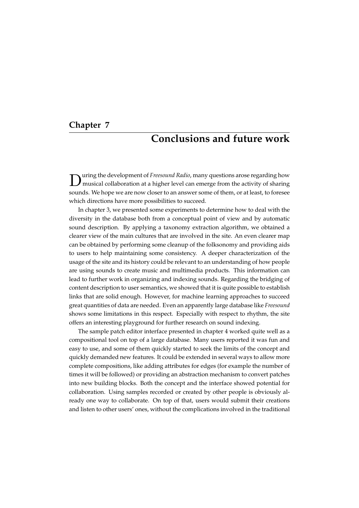## **Chapter 7**

## **Conclusions and future work**

D uring the development of *Freesound Radio*, many questions arose regarding how musical collaboration at a higher level can emerge from the activity of sharing sounds. We hope we are now closer to an answer some of them, or at least, to foresee which directions have more possibilities to succeed.

In chapter [3,](#page-32-0) we presented some experiments to determine how to deal with the diversity in the database both from a conceptual point of view and by automatic sound description. By applying a taxonomy extraction algorithm, we obtained a clearer view of the main cultures that are involved in the site. An even clearer map can be obtained by performing some cleanup of the folksonomy and providing aids to users to help maintaining some consistency. A deeper characterization of the usage of the site and its history could be relevant to an understanding of how people are using sounds to create music and multimedia products. This information can lead to further work in organizing and indexing sounds. Regarding the bridging of content description to user semantics, we showed that it is quite possible to establish links that are solid enough. However, for machine learning approaches to succeed great quantities of data are needed. Even an apparently large database like *Freesound* shows some limitations in this respect. Especially with respect to rhythm, the site offers an interesting playground for further research on sound indexing.

The sample patch editor interface presented in chapter [4](#page-46-0) worked quite well as a compositional tool on top of a large database. Many users reported it was fun and easy to use, and some of them quickly started to seek the limits of the concept and quickly demanded new features. It could be extended in several ways to allow more complete compositions, like adding attributes for edges (for example the number of times it will be followed) or providing an abstraction mechanism to convert patches into new building blocks. Both the concept and the interface showed potential for collaboration. Using samples recorded or created by other people is obviously already one way to collaborate. On top of that, users would submit their creations and listen to other users' ones, without the complications involved in the traditional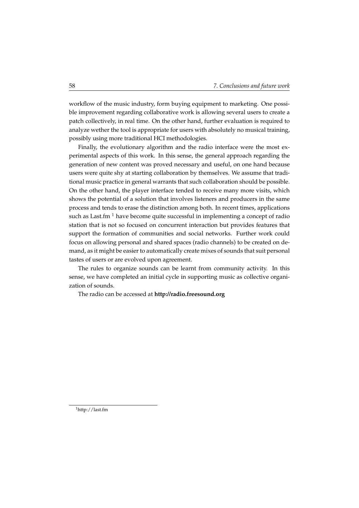workflow of the music industry, form buying equipment to marketing. One possible improvement regarding collaborative work is allowing several users to create a patch collectively, in real time. On the other hand, further evaluation is required to analyze wether the tool is appropriate for users with absolutely no musical training, possibly using more traditional HCI methodologies.

Finally, the evolutionary algorithm and the radio interface were the most experimental aspects of this work. In this sense, the general approach regarding the generation of new content was proved necessary and useful, on one hand because users were quite shy at starting collaboration by themselves. We assume that traditional music practice in general warrants that such collaboration should be possible. On the other hand, the player interface tended to receive many more visits, which shows the potential of a solution that involves listeners and producers in the same process and tends to erase the distinction among both. In recent times, applications such as Last.fm  $<sup>1</sup>$  $<sup>1</sup>$  $<sup>1</sup>$  have become quite successful in implementing a concept of radio</sup> station that is not so focused on concurrent interaction but provides features that support the formation of communities and social networks. Further work could focus on allowing personal and shared spaces (radio channels) to be created on demand, as it might be easier to automatically create mixes of sounds that suit personal tastes of users or are evolved upon agreement.

The rules to organize sounds can be learnt from community activity. In this sense, we have completed an initial cycle in supporting music as collective organization of sounds.

The radio can be accessed at **<http://radio.freesound.org>**

<span id="page-67-0"></span><sup>1</sup>http://last.fm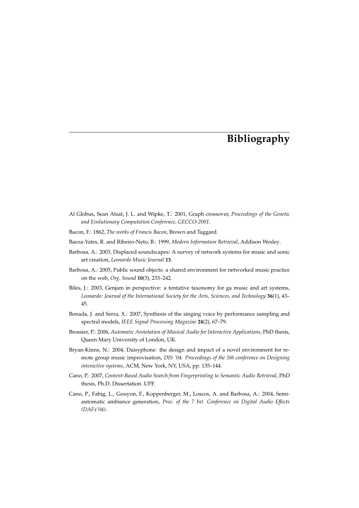# **Bibliography**

- Al Globus, Sean Atsat, J. L. and Wipke, T.: 2001, Graph crossover, *Proceedings of the Genetic and Evolutionary Computation Conference, GECCO-2001*.
- Bacon, F.: 1862, *The works of Francis Bacon*, Brown and Taggard.
- Baeza-Yates, R. and Ribeiro-Neto, B.: 1999, *Modern Information Retrieval*, Addison Wesley.
- Barbosa, A.: 2003, Displaced soundscapes: A survey of network systems for music and sonic art creation, *Leonardo Music Journal* **13**.
- Barbosa, A.: 2005, Public sound objects: a shared environment for networked music practice on the web, *Org. Sound* **10**(3), 233–242.
- Biles, J.: 2003, Genjam in perspective: a tentative taxonomy for ga music and art systems, *Leonardo: Journal of the International Society for the Arts, Sciences, and Technology* **36**(1), 43– 45.
- Bonada, J. and Serra, X.: 2007, Synthesis of the singing voice by performance sampling and spectral models, *IEEE Signal Processing Magazine* **24**(2), 67–79.
- Brossier, P.: 2006, *Automatic Annotation of Musical Audio for Interactive Applications*, PhD thesis, Queen Mary University of London, UK.
- Bryan-Kinns, N.: 2004, Daisyphone: the design and impact of a novel environment for remote group music improvisation, *DIS '04: Proceedings of the 5th conference on Designing interactive systems*, ACM, New York, NY, USA, pp. 135–144.
- Cano, P.: 2007, *Content-Based Audio Search from Fingerprinting to Semantic Audio Retrieval*, PhD thesis, Ph.D. Dissertation. UPF.
- Cano, P., Fabig, L., Gouyon, F., Koppenberger, M., Loscos, A. and Barbosa, A.: 2004, Semiautomatic ambiance generation, *Proc. of the 7 Int. Conference on Digital Audio Effects (DAFx'04)*.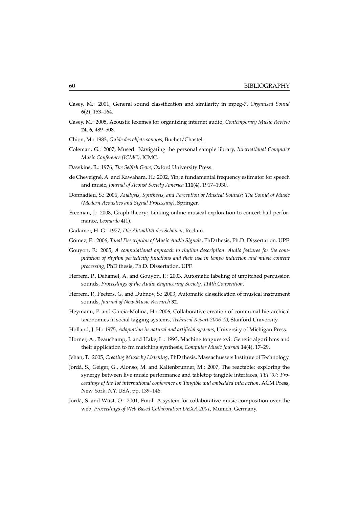- Casey, M.: 2001, General sound classification and similarity in mpeg-7, *Organised Sound* **6**(2), 153–164.
- Casey, M.: 2005, Acoustic lexemes for organizing internet audio, *Contemporary Music Review* **24, 6**, 489–508.
- Chion, M.: 1983, *Guide des objets sonores*, Buchet/Chastel.
- Coleman, G.: 2007, Mused: Navigating the personal sample library, *International Computer Music Conference (ICMC)*, ICMC.
- Dawkins, R.: 1976, *The Selfish Gene*, Oxford University Press.
- de Cheveigné, A. and Kawahara, H.: 2002, Yin, a fundamental frequency estimator for speech and music, *Journal of Acoust Society America* **111**(4), 1917–1930.
- Donnadieu, S.: 2006, *Analysis, Synthesis, and Perception of Musical Sounds: The Sound of Music (Modern Acoustics and Signal Processing)*, Springer.
- Freeman, J.: 2008, Graph theory: Linking online musical exploration to concert hall performance, *Leonardo* **4**(1).
- Gadamer, H. G.: 1977, Die Aktualität des Schönen, Reclam.
- Gómez, E.: 2006, *Tonal Description of Music Audio Signals*, PhD thesis, Ph.D. Dissertation. UPF.
- Gouyon, F.: 2005, *A computational approach to rhythm description. Audio features for the computation of rhythm periodicity functions and their use in tempo induction and music content processing*, PhD thesis, Ph.D. Dissertation. UPF.
- Herrera, P., Dehamel, A. and Gouyon, F.: 2003, Automatic labeling of unpitched percussion sounds, *Proceedings of the Audio Engineering Society, 114th Convention*.
- Herrera, P., Peeters, G. and Dubnov, S.: 2003, Automatic classification of musical instrument sounds, *Journal of New Music Research* **32**.
- Heymann, P. and Garcia-Molina, H.: 2006, Collaborative creation of communal hierarchical taxonomies in social tagging systems, *Technical Report 2006-10*, Stanford University.
- Holland, J. H.: 1975, *Adaptation in natural and artificial systems*, University of Michigan Press.
- Horner, A., Beauchamp, J. and Hake, L.: 1993, Machine tongues xvi: Genetic algorithms and their application to fm matching synthesis, *Computer Music Journal* **14**(4), 17–29.
- Jehan, T.: 2005, *Creating Music by Listening*, PhD thesis, Massachussets Institute of Technology.
- Jorda, S., Geiger, G., Alonso, M. and Kaltenbrunner, M.: 2007, The reactable: exploring the ` synergy between live music performance and tabletop tangible interfaces, *TEI '07: Proceedings of the 1st international conference on Tangible and embedded interaction*, ACM Press, New York, NY, USA, pp. 139–146.
- Jordà, S. and Wüst, O.: 2001, Fmol: A system for collaborative music composition over the web, *Proceedings of Web Based Collaboration DEXA 2001*, Munich, Germany.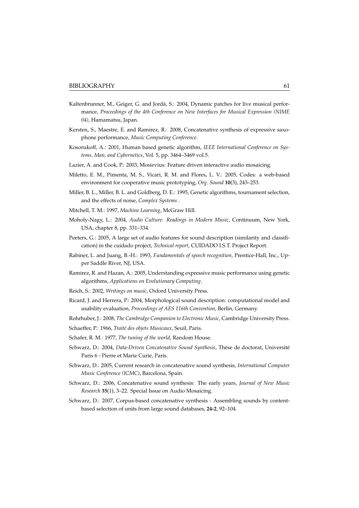- Kaltenbrunner, M., Geiger, G. and Jordà, S.: 2004, Dynamic patches for live musical performance, *Proceedings of the 4th Conference on New Interfaces for Musical Expression (NIME 04)*, Hamamatsu, Japan.
- Kersten, S., Maestre, E. and Ramirez, R.: 2008, Concatenative synthesis of expressive saxophone performance, *Music Computing Conference*.
- Kosorukoff, A.: 2001, Human based genetic algorithm, *IEEE International Conference on Systems, Man, and Cybernetics*, Vol. 5, pp. 3464–3469 vol.5.
- Lazier, A. and Cook, P.: 2003, Mosievius: Feature driven interactive audio mosaicing.
- Miletto, E. M., Pimenta, M. S., Vicari, R. M. and Flores, L. V.: 2005, Codes: a web-based environment for cooperative music prototyping, *Org. Sound* **10**(3), 243–253.
- Miller, B. L., Miller, B. L. and Goldberg, D. E.: 1995, Genetic algorithms, tournament selection, and the effects of noise, *Complex Systems* .
- Mitchell, T. M.: 1997, *Machine Learning*, McGraw Hill.
- Moholy-Nagy, L.: 2004, *Audio Culture: Readings in Modern Music*, Continuum, New York, USA, chapter 8, pp. 331–334.
- Peeters, G.: 2005, A large set of audio features for sound description (similarity and classification) in the cuidado project, *Technical report*, CUIDADO I.S.T. Project Report.
- Rabiner, L. and Juang, B.-H.: 1993, *Fundamentals of speech recognition*, Prentice-Hall, Inc., Upper Saddle River, NJ, USA.
- Ramirez, R. and Hazan, A.: 2005, Understanding expressive music performance using genetic algorithms, *Applications on Evolutionary Computing*.
- Reich, S.: 2002, *Writings on music*, Oxford University Press.
- Ricard, J. and Herrera, P.: 2004, Morphological sound description: computational model and usability evaluation, *Proceedings of AES 116th Convention*, Berlin, Germany.
- Rohrhuber, J.: 2008, *The Cambridge Companion to Electronic Music*, Cambridge University Press.
- Schaeffer, P.: 1966, *Traité des objets Musicaux*, Seuil, Paris.
- Schafer, R. M.: 1977, *The tuning of the world*, Random House.
- Schwarz, D.: 2004, *Data-Driven Concatenative Sound Synthesis*, Thèse de doctorat, Université Paris 6 - Pierre et Marie Curie, Paris.
- Schwarz, D.: 2005, Current research in concatenative sound synthesis, *International Computer Music Conference (ICMC)*, Barcelona, Spain.
- Schwarz, D.: 2006, Concatenative sound synthesis: The early years, *Journal of New Music Research* **35**(1), 3–22. Special Issue on Audio Mosaicing.
- Schwarz, D.: 2007, Corpus-based concatenative synthesis : Assembling sounds by contentbased selection of units from large sound databases, **24-2**, 92–104.